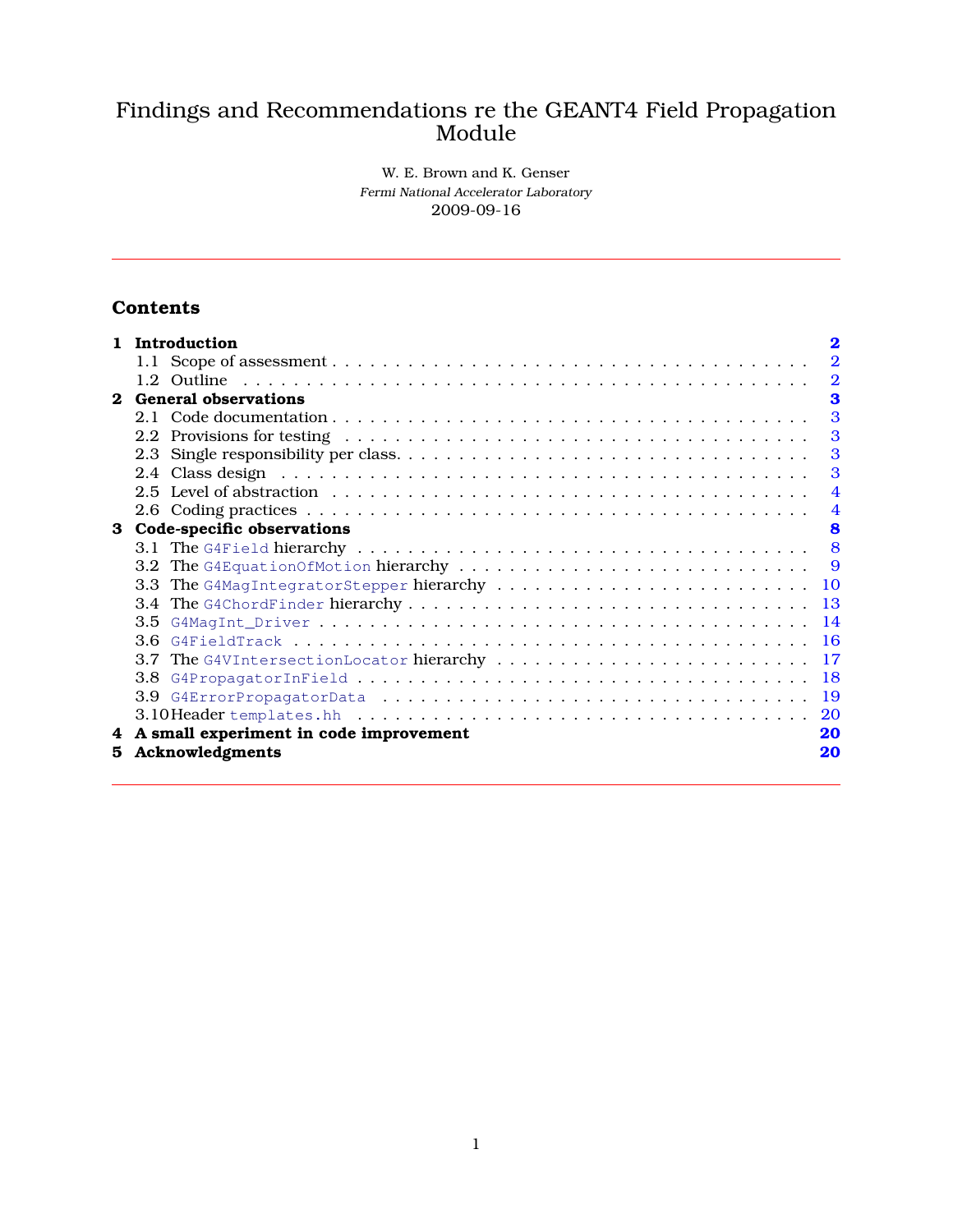# Findings and Recommendations re the GEANT4 Field Propagation Module

W. E. Brown and K. Genser Fermi National Accelerator Laboratory 2009-09-16

# **Contents**

| $\mathbf{1}$ | Introduction                                                                                                                                                                                                                  | $\mathbf 2$    |
|--------------|-------------------------------------------------------------------------------------------------------------------------------------------------------------------------------------------------------------------------------|----------------|
|              |                                                                                                                                                                                                                               | $\overline{2}$ |
|              |                                                                                                                                                                                                                               | $\overline{2}$ |
| $\bf{2}$     | <b>General observations</b>                                                                                                                                                                                                   | 3              |
|              |                                                                                                                                                                                                                               | 3              |
|              | 2.2 Provisions for testing results in the context of the context of the context of the context of the context of the context of the context of the context of the context of the context of the context of the context of the | 3              |
|              |                                                                                                                                                                                                                               | 3              |
|              |                                                                                                                                                                                                                               | 3              |
|              |                                                                                                                                                                                                                               | $\overline{4}$ |
|              |                                                                                                                                                                                                                               | $\overline{4}$ |
| 3            | Code-specific observations                                                                                                                                                                                                    | 8              |
|              |                                                                                                                                                                                                                               | 8              |
|              |                                                                                                                                                                                                                               | 9              |
|              | 3.3                                                                                                                                                                                                                           |                |
|              |                                                                                                                                                                                                                               |                |
|              | 3.5                                                                                                                                                                                                                           | 14             |
|              | 36                                                                                                                                                                                                                            | -16            |
|              | 3.7                                                                                                                                                                                                                           | 17             |
|              | 3.8                                                                                                                                                                                                                           | <b>18</b>      |
|              | 3.9                                                                                                                                                                                                                           | <sup>19</sup>  |
|              |                                                                                                                                                                                                                               | 20             |
| 4            | A small experiment in code improvement                                                                                                                                                                                        | 20             |
| 5.           | Acknowledgments                                                                                                                                                                                                               | 20             |
|              |                                                                                                                                                                                                                               |                |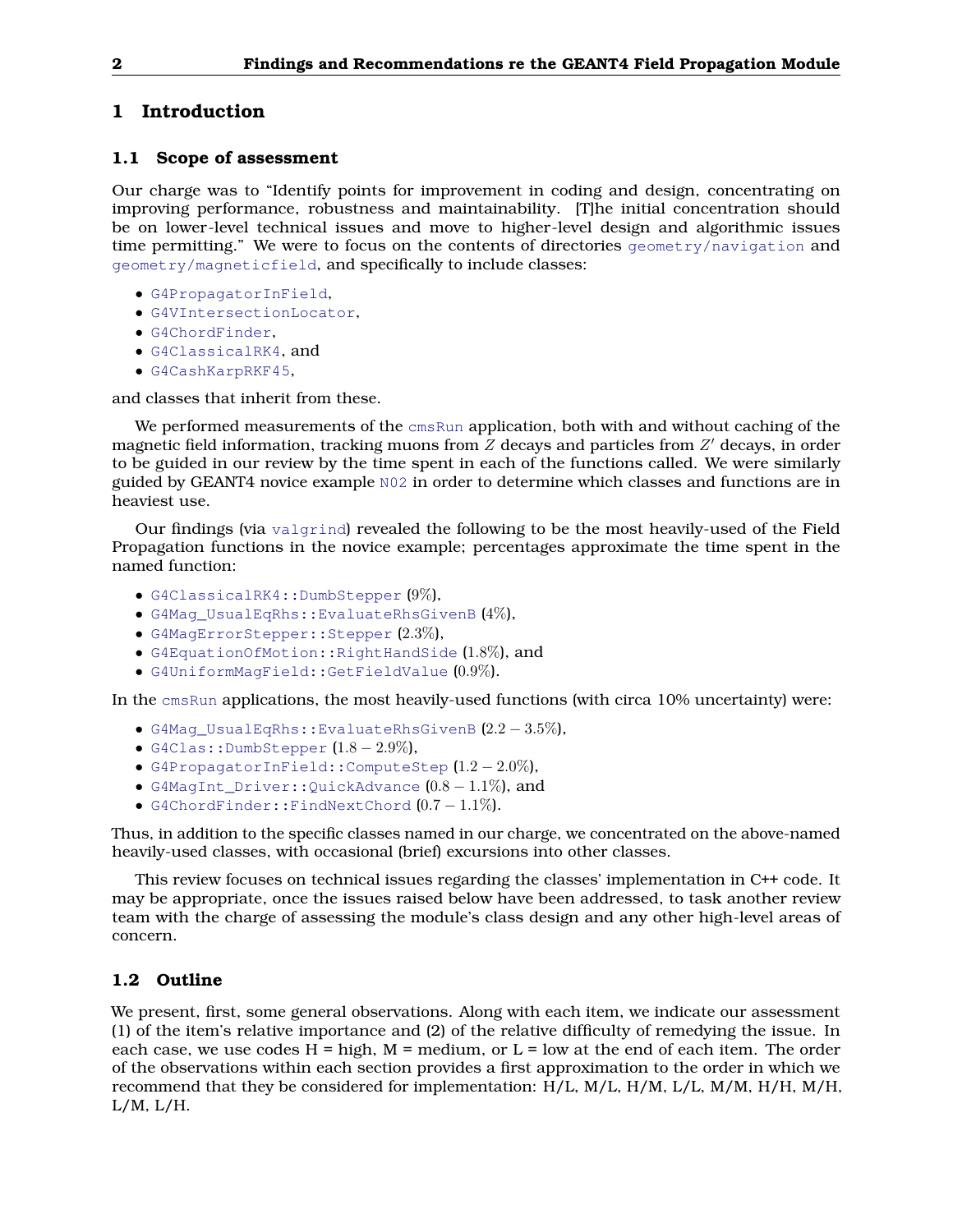## <span id="page-1-0"></span>**1 Introduction**

## <span id="page-1-1"></span>**1.1 Scope of assessment**

Our charge was to "Identify points for improvement in coding and design, concentrating on improving performance, robustness and maintainability. [T]he initial concentration should be on lower-level technical issues and move to higher-level design and algorithmic issues time permitting." We were to focus on the contents of directories geometry/navigation and geometry/magneticfield, and specifically to include classes:

- G4PropagatorInField,
- G4VIntersectionLocator,
- G4ChordFinder,
- G4ClassicalRK4, and
- G4CashKarpRKF45,

and classes that inherit from these.

We performed measurements of the cmsRun application, both with and without caching of the magnetic field information, tracking muons from  $Z$  decays and particles from  $Z^\prime$  decays, in order to be guided in our review by the time spent in each of the functions called. We were similarly guided by GEANT4 novice example N02 in order to determine which classes and functions are in heaviest use.

Our findings (via valgrind) revealed the following to be the most heavily-used of the Field Propagation functions in the novice example; percentages approximate the time spent in the named function:

- G4ClassicalRK4::DumbStepper (9%),
- G4Mag\_UsualEqRhs::EvaluateRhsGivenB (4%),
- G4MagErrorStepper::Stepper (2.3%),
- G4EquationOfMotion::RightHandSide (1.8%), and
- G4UniformMagField::GetFieldValue (0.9%).

In the cmsRun applications, the most heavily-used functions (with circa 10% uncertainty) were:

- G4Mag\_UsualEqRhs::EvaluateRhsGivenB (2.2 − 3.5%),
- G4Clas::DumbStepper  $(1.8 2.9\%).$
- G4PropagatorInField::ComputeStep  $(1.2-2.0\%),$
- G4MagInt\_Driver::QuickAdvance (0.8 − 1.1%), and
- G4ChordFinder::FindNextChord (0.7 − 1.1%).

Thus, in addition to the specific classes named in our charge, we concentrated on the above-named heavily-used classes, with occasional (brief) excursions into other classes.

This review focuses on technical issues regarding the classes' implementation in C++ code. It may be appropriate, once the issues raised below have been addressed, to task another review team with the charge of assessing the module's class design and any other high-level areas of concern.

## <span id="page-1-2"></span>**1.2 Outline**

We present, first, some general observations. Along with each item, we indicate our assessment (1) of the item's relative importance and (2) of the relative difficulty of remedying the issue. In each case, we use codes  $H = high$ ,  $M = medium$ , or  $L = low$  at the end of each item. The order of the observations within each section provides a first approximation to the order in which we recommend that they be considered for implementation: H/L, M/L, H/M, L/L, M/M, H/H, M/H, L/M, L/H.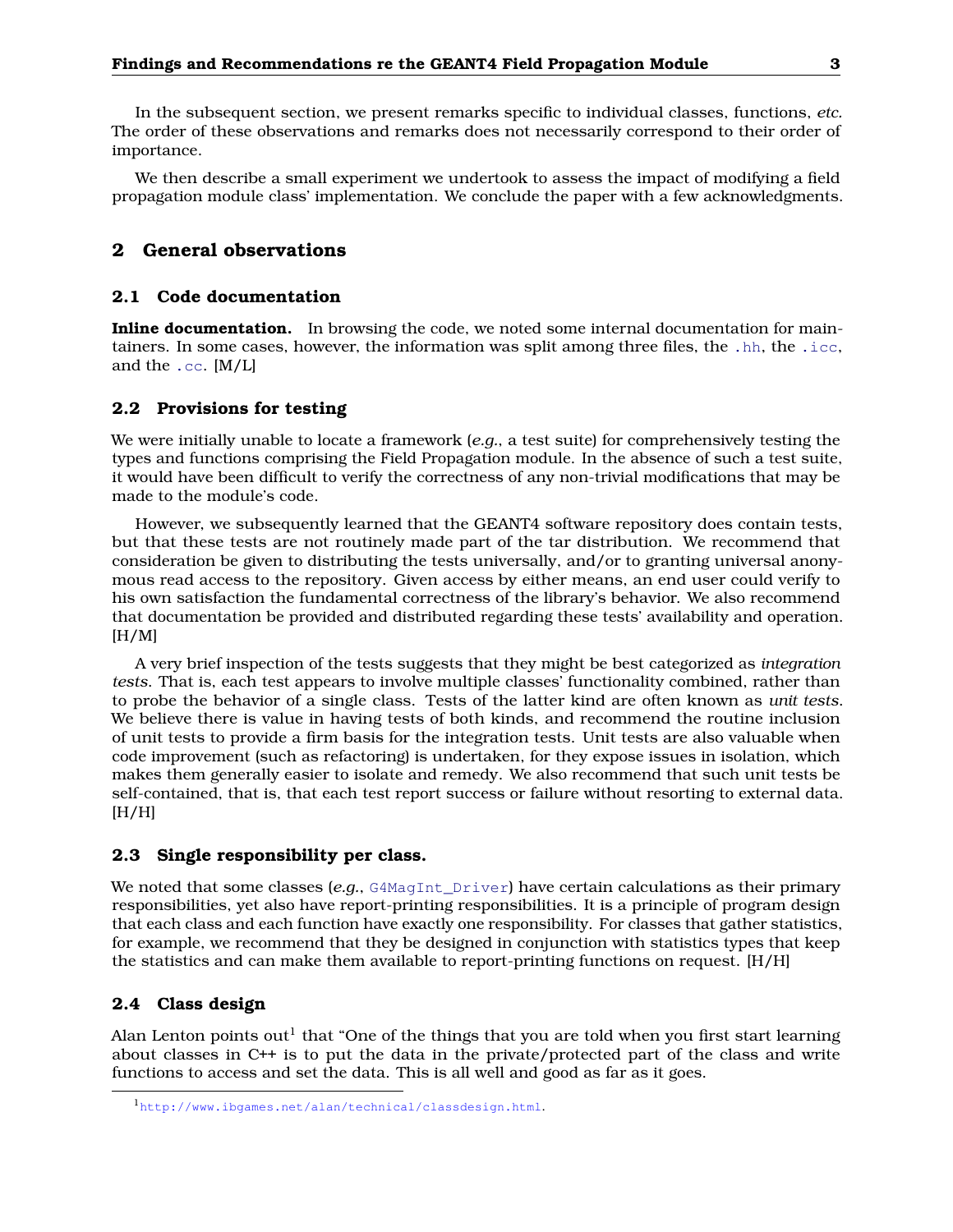In the subsequent section, we present remarks specific to individual classes, functions, *etc.* The order of these observations and remarks does not necessarily correspond to their order of importance.

<span id="page-2-0"></span>We then describe a small experiment we undertook to assess the impact of modifying a field propagation module class' implementation. We conclude the paper with a few acknowledgments.

## **2 General observations**

#### <span id="page-2-1"></span>**2.1 Code documentation**

**Inline documentation.** In browsing the code, we noted some internal documentation for maintainers. In some cases, however, the information was split among three files, the .hh, the .icc, and the .cc. [M/L]

#### <span id="page-2-2"></span>**2.2 Provisions for testing**

We were initially unable to locate a framework (*e.g.*, a test suite) for comprehensively testing the types and functions comprising the Field Propagation module. In the absence of such a test suite, it would have been difficult to verify the correctness of any non-trivial modifications that may be made to the module's code.

However, we subsequently learned that the GEANT4 software repository does contain tests, but that these tests are not routinely made part of the tar distribution. We recommend that consideration be given to distributing the tests universally, and/or to granting universal anonymous read access to the repository. Given access by either means, an end user could verify to his own satisfaction the fundamental correctness of the library's behavior. We also recommend that documentation be provided and distributed regarding these tests' availability and operation.  $[H/M]$ 

A very brief inspection of the tests suggests that they might be best categorized as *integration tests*. That is, each test appears to involve multiple classes' functionality combined, rather than to probe the behavior of a single class. Tests of the latter kind are often known as *unit tests*. We believe there is value in having tests of both kinds, and recommend the routine inclusion of unit tests to provide a firm basis for the integration tests. Unit tests are also valuable when code improvement (such as refactoring) is undertaken, for they expose issues in isolation, which makes them generally easier to isolate and remedy. We also recommend that such unit tests be self-contained, that is, that each test report success or failure without resorting to external data.  $[H/H]$ 

## <span id="page-2-3"></span>**2.3 Single responsibility per class.**

We noted that some classes (e.g., G4MagInt\_Driver) have certain calculations as their primary responsibilities, yet also have report-printing responsibilities. It is a principle of program design that each class and each function have exactly one responsibility. For classes that gather statistics, for example, we recommend that they be designed in conjunction with statistics types that keep the statistics and can make them available to report-printing functions on request. [H/H]

## <span id="page-2-4"></span>**2.4 Class design**

Alan Lenton points out $^{\rm l}$  that "One of the things that you are told when you first start learning about classes in C++ is to put the data in the private/protected part of the class and write functions to access and set the data. This is all well and good as far as it goes.

<sup>1</sup><http://www.ibgames.net/alan/technical/classdesign.html>.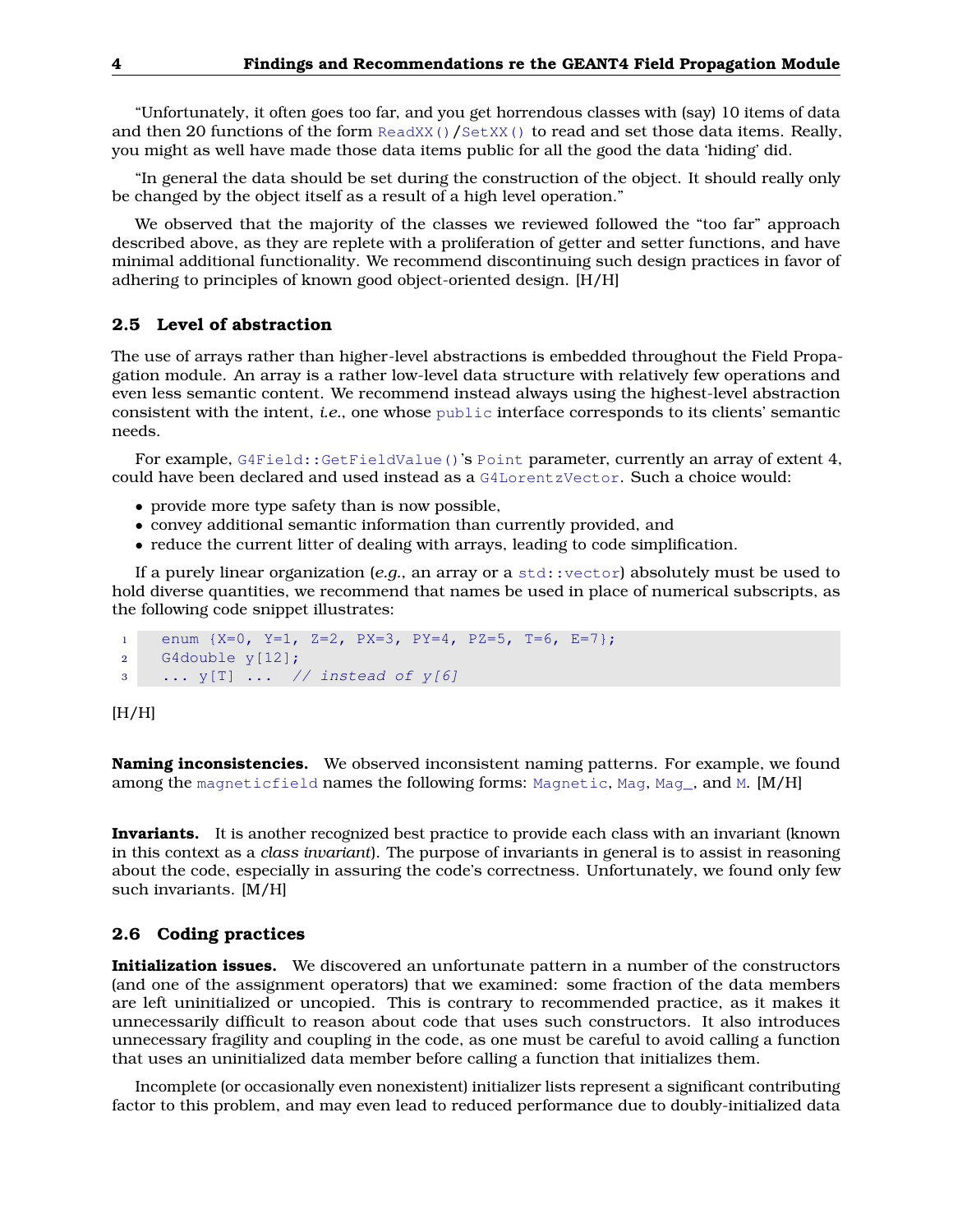"Unfortunately, it often goes too far, and you get horrendous classes with (say) 10 items of data and then 20 functions of the form ReadXX()/SetXX() to read and set those data items. Really, you might as well have made those data items public for all the good the data 'hiding' did.

"In general the data should be set during the construction of the object. It should really only be changed by the object itself as a result of a high level operation."

We observed that the majority of the classes we reviewed followed the "too far" approach described above, as they are replete with a proliferation of getter and setter functions, and have minimal additional functionality. We recommend discontinuing such design practices in favor of adhering to principles of known good object-oriented design. [H/H]

## <span id="page-3-0"></span>**2.5 Level of abstraction**

The use of arrays rather than higher-level abstractions is embedded throughout the Field Propagation module. An array is a rather low-level data structure with relatively few operations and even less semantic content. We recommend instead always using the highest-level abstraction consistent with the intent, *i.e.*, one whose public interface corresponds to its clients' semantic needs.

For example, G4Field::GetFieldValue()'s Point parameter, currently an array of extent 4, could have been declared and used instead as a G4LorentzVector. Such a choice would:

- provide more type safety than is now possible,
- convey additional semantic information than currently provided, and
- reduce the current litter of dealing with arrays, leading to code simplification.

If a purely linear organization (*e.g.*, an array or a std::vector) absolutely must be used to hold diverse quantities, we recommend that names be used in place of numerical subscripts, as the following code snippet illustrates:

```
1 enum {X=0, Y=1, Z=2, PX=3, PY=4, PZ=5, T=6, E=7};
2 G4double y[12];
3 ... y[T] ... // instead of y[6]
```
 $[H/H]$ 

**Naming inconsistencies.** We observed inconsistent naming patterns. For example, we found among the magneticfield names the following forms: Magnetic, Mag, Mag\_, and M. [M/H]

**Invariants.** It is another recognized best practice to provide each class with an invariant (known in this context as a *class invariant*). The purpose of invariants in general is to assist in reasoning about the code, especially in assuring the code's correctness. Unfortunately, we found only few such invariants. [M/H]

## <span id="page-3-1"></span>**2.6 Coding practices**

**Initialization issues.** We discovered an unfortunate pattern in a number of the constructors (and one of the assignment operators) that we examined: some fraction of the data members are left uninitialized or uncopied. This is contrary to recommended practice, as it makes it unnecessarily difficult to reason about code that uses such constructors. It also introduces unnecessary fragility and coupling in the code, as one must be careful to avoid calling a function that uses an uninitialized data member before calling a function that initializes them.

Incomplete (or occasionally even nonexistent) initializer lists represent a significant contributing factor to this problem, and may even lead to reduced performance due to doubly-initialized data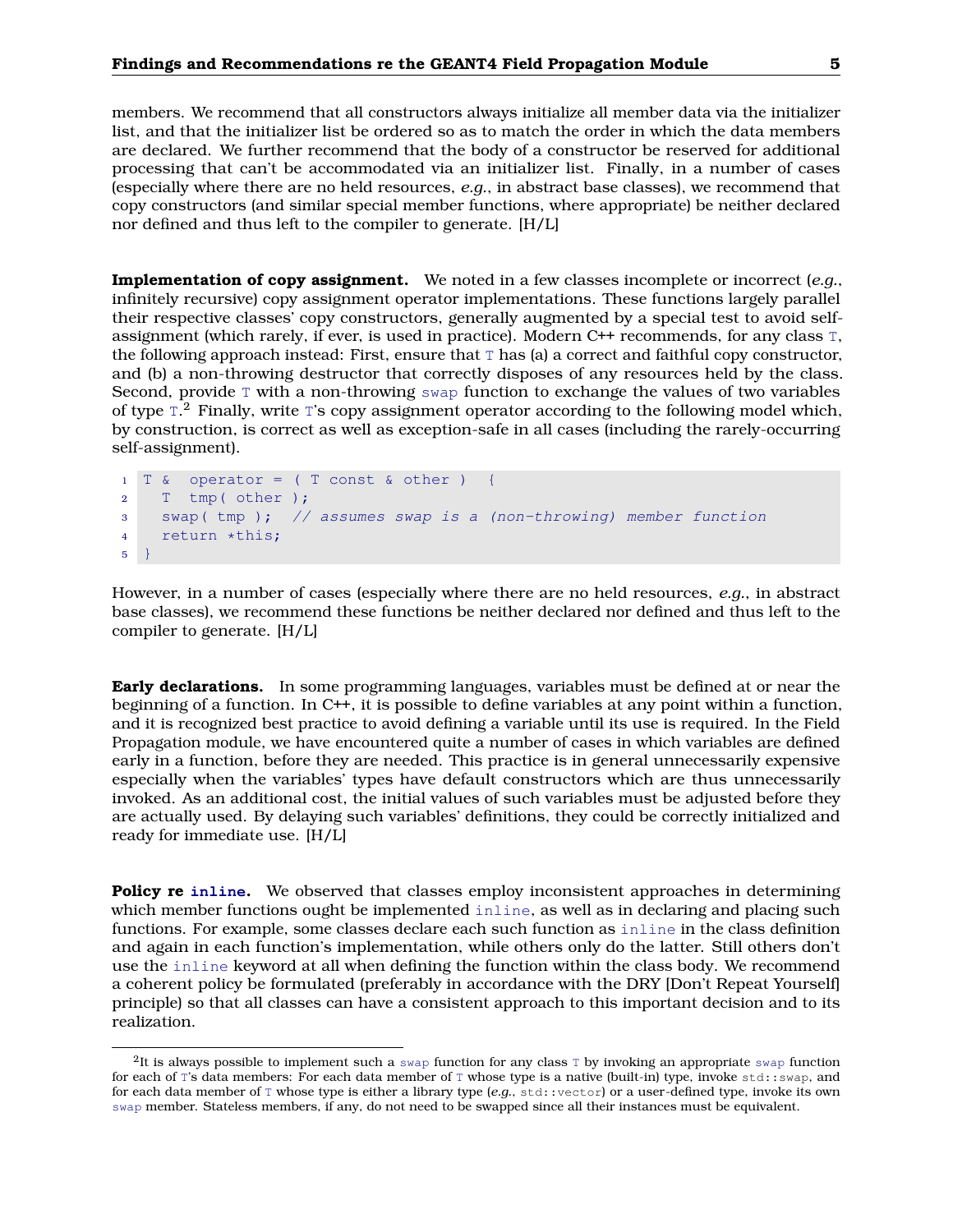members. We recommend that all constructors always initialize all member data via the initializer list, and that the initializer list be ordered so as to match the order in which the data members are declared. We further recommend that the body of a constructor be reserved for additional processing that can't be accommodated via an initializer list. Finally, in a number of cases (especially where there are no held resources, *e.g.*, in abstract base classes), we recommend that copy constructors (and similar special member functions, where appropriate) be neither declared nor defined and thus left to the compiler to generate. [H/L]

**Implementation of copy assignment.** We noted in a few classes incomplete or incorrect (*e.g.*, infinitely recursive) copy assignment operator implementations. These functions largely parallel their respective classes' copy constructors, generally augmented by a special test to avoid selfassignment (which rarely, if ever, is used in practice). Modern C++ recommends, for any class T, the following approach instead: First, ensure that  $\text{T}$  has (a) a correct and faithful copy constructor, and (b) a non-throwing destructor that correctly disposes of any resources held by the class. Second, provide  $\text{T}$  with a non-throwing swap function to exchange the values of two variables of type  $I^2$  Finally, write T's copy assignment operator according to the following model which, by construction, is correct as well as exception-safe in all cases (including the rarely-occurring self-assignment).

```
1 T & operator = ( T const & other ) {
2 T tmp( other );
3 swap( tmp ); // assumes swap is a (non-throwing) member function
4 return *this;
5 }
```
However, in a number of cases (especially where there are no held resources, *e.g.*, in abstract base classes), we recommend these functions be neither declared nor defined and thus left to the compiler to generate. [H/L]

**Early declarations.** In some programming languages, variables must be defined at or near the beginning of a function. In C++, it is possible to define variables at any point within a function, and it is recognized best practice to avoid defining a variable until its use is required. In the Field Propagation module, we have encountered quite a number of cases in which variables are defined early in a function, before they are needed. This practice is in general unnecessarily expensive especially when the variables' types have default constructors which are thus unnecessarily invoked. As an additional cost, the initial values of such variables must be adjusted before they are actually used. By delaying such variables' definitions, they could be correctly initialized and ready for immediate use. [H/L]

**Policy re inline.** We observed that classes employ inconsistent approaches in determining which member functions ought be implemented inline, as well as in declaring and placing such functions. For example, some classes declare each such function as inline in the class definition and again in each function's implementation, while others only do the latter. Still others don't use the inline keyword at all when defining the function within the class body. We recommend a coherent policy be formulated (preferably in accordance with the DRY [Don't Repeat Yourself] principle) so that all classes can have a consistent approach to this important decision and to its realization.

 $2$ It is always possible to implement such a swap function for any class T by invoking an appropriate swap function for each of T's data members: For each data member of T whose type is a native (built-in) type, invoke std::swap, and for each data member of T whose type is either a library type (*e.g.*, std::vector) or a user-defined type, invoke its own swap member. Stateless members, if any, do not need to be swapped since all their instances must be equivalent.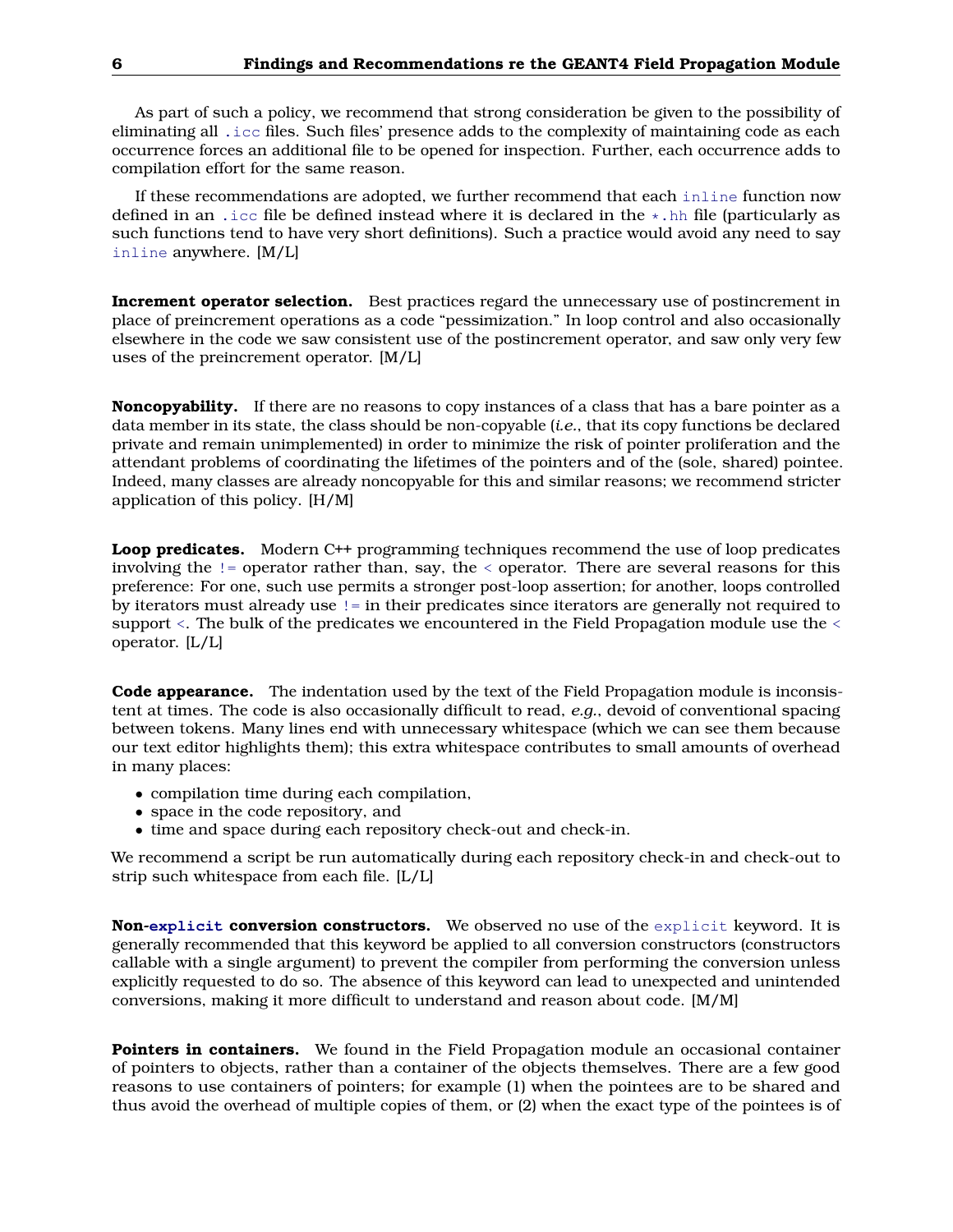As part of such a policy, we recommend that strong consideration be given to the possibility of eliminating all .icc files. Such files' presence adds to the complexity of maintaining code as each occurrence forces an additional file to be opened for inspection. Further, each occurrence adds to compilation effort for the same reason.

If these recommendations are adopted, we further recommend that each inline function now defined in an .icc file be defined instead where it is declared in the  $\star$ .hh file (particularly as such functions tend to have very short definitions). Such a practice would avoid any need to say inline anywhere. [M/L]

**Increment operator selection.** Best practices regard the unnecessary use of postincrement in place of preincrement operations as a code "pessimization." In loop control and also occasionally elsewhere in the code we saw consistent use of the postincrement operator, and saw only very few uses of the preincrement operator. [M/L]

**Noncopyability.** If there are no reasons to copy instances of a class that has a bare pointer as a data member in its state, the class should be non-copyable (*i.e.*, that its copy functions be declared private and remain unimplemented) in order to minimize the risk of pointer proliferation and the attendant problems of coordinating the lifetimes of the pointers and of the (sole, shared) pointee. Indeed, many classes are already noncopyable for this and similar reasons; we recommend stricter application of this policy. [H/M]

**Loop predicates.** Modern C++ programming techniques recommend the use of loop predicates involving the != operator rather than, say, the < operator. There are several reasons for this preference: For one, such use permits a stronger post-loop assertion; for another, loops controlled by iterators must already use != in their predicates since iterators are generally not required to support <. The bulk of the predicates we encountered in the Field Propagation module use the < operator. [L/L]

**Code appearance.** The indentation used by the text of the Field Propagation module is inconsistent at times. The code is also occasionally difficult to read, *e.g.*, devoid of conventional spacing between tokens. Many lines end with unnecessary whitespace (which we can see them because our text editor highlights them); this extra whitespace contributes to small amounts of overhead in many places:

- compilation time during each compilation,
- space in the code repository, and
- time and space during each repository check-out and check-in.

We recommend a script be run automatically during each repository check-in and check-out to strip such whitespace from each file. [L/L]

**Non-explicit conversion constructors.** We observed no use of the explicit keyword. It is generally recommended that this keyword be applied to all conversion constructors (constructors callable with a single argument) to prevent the compiler from performing the conversion unless explicitly requested to do so. The absence of this keyword can lead to unexpected and unintended conversions, making it more difficult to understand and reason about code. [M/M]

**Pointers in containers.** We found in the Field Propagation module an occasional container of pointers to objects, rather than a container of the objects themselves. There are a few good reasons to use containers of pointers; for example (1) when the pointees are to be shared and thus avoid the overhead of multiple copies of them, or (2) when the exact type of the pointees is of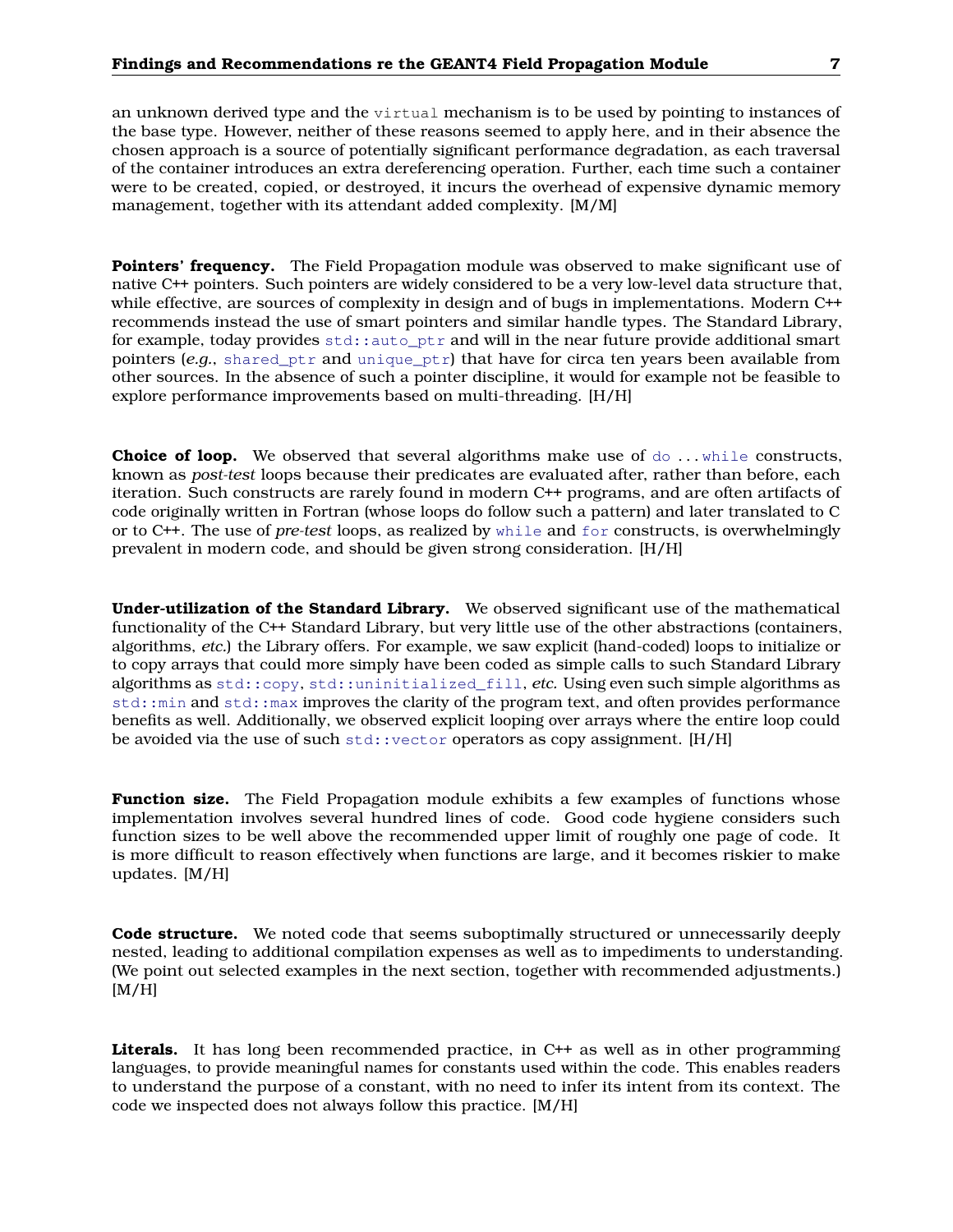an unknown derived type and the virtual mechanism is to be used by pointing to instances of

the base type. However, neither of these reasons seemed to apply here, and in their absence the chosen approach is a source of potentially significant performance degradation, as each traversal of the container introduces an extra dereferencing operation. Further, each time such a container were to be created, copied, or destroyed, it incurs the overhead of expensive dynamic memory management, together with its attendant added complexity. [M/M]

**Pointers' frequency.** The Field Propagation module was observed to make significant use of native C++ pointers. Such pointers are widely considered to be a very low-level data structure that, while effective, are sources of complexity in design and of bugs in implementations. Modern C++ recommends instead the use of smart pointers and similar handle types. The Standard Library, for example, today provides  $std$ ::auto ptr and will in the near future provide additional smart pointers (*e.g.*, shared\_ptr and unique\_ptr) that have for circa ten years been available from other sources. In the absence of such a pointer discipline, it would for example not be feasible to explore performance improvements based on multi-threading. [H/H]

**Choice of loop.** We observed that several algorithms make use of  $d_0$ ... while constructs, known as *post-test* loops because their predicates are evaluated after, rather than before, each iteration. Such constructs are rarely found in modern C++ programs, and are often artifacts of code originally written in Fortran (whose loops do follow such a pattern) and later translated to C or to C++. The use of *pre-test* loops, as realized by while and for constructs, is overwhelmingly prevalent in modern code, and should be given strong consideration. [H/H]

**Under-utilization of the Standard Library.** We observed significant use of the mathematical functionality of the C++ Standard Library, but very little use of the other abstractions (containers, algorithms, *etc.*) the Library offers. For example, we saw explicit (hand-coded) loops to initialize or to copy arrays that could more simply have been coded as simple calls to such Standard Library algorithms as std::copy, std::uninitialized\_fill, *etc.* Using even such simple algorithms as std::min and std::max improves the clarity of the program text, and often provides performance benefits as well. Additionally, we observed explicit looping over arrays where the entire loop could be avoided via the use of such std::vector operators as copy assignment. [H/H]

**Function size.** The Field Propagation module exhibits a few examples of functions whose implementation involves several hundred lines of code. Good code hygiene considers such function sizes to be well above the recommended upper limit of roughly one page of code. It is more difficult to reason effectively when functions are large, and it becomes riskier to make updates. [M/H]

**Code structure.** We noted code that seems suboptimally structured or unnecessarily deeply nested, leading to additional compilation expenses as well as to impediments to understanding. (We point out selected examples in the next section, together with recommended adjustments.)  $[M/H]$ 

Literals. It has long been recommended practice, in C<sup>++</sup> as well as in other programming languages, to provide meaningful names for constants used within the code. This enables readers to understand the purpose of a constant, with no need to infer its intent from its context. The code we inspected does not always follow this practice. [M/H]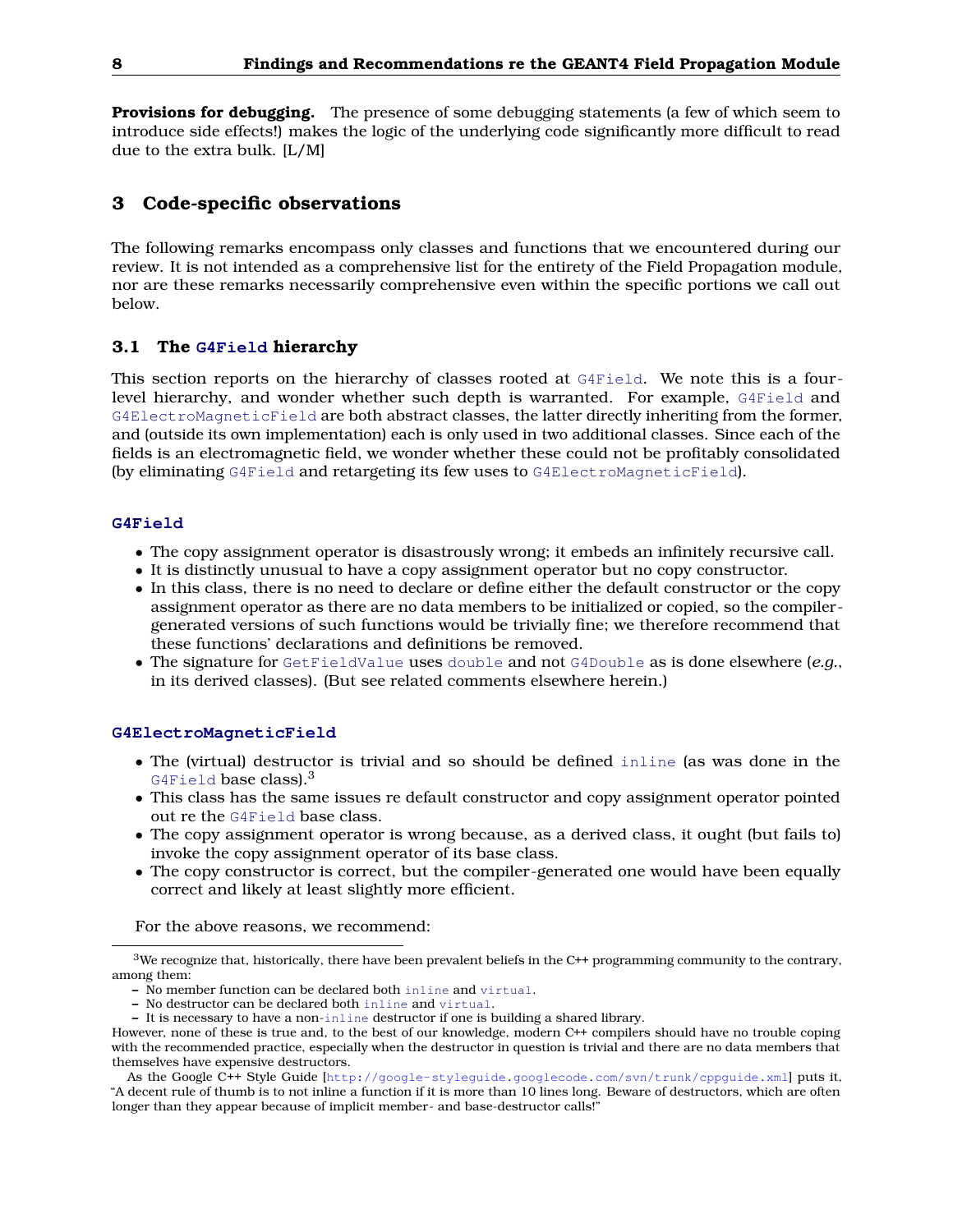**Provisions for debugging.** The presence of some debugging statements (a few of which seem to introduce side effects!) makes the logic of the underlying code significantly more difficult to read due to the extra bulk. [L/M]

## <span id="page-7-0"></span>**3 Code-specific observations**

The following remarks encompass only classes and functions that we encountered during our review. It is not intended as a comprehensive list for the entirety of the Field Propagation module, nor are these remarks necessarily comprehensive even within the specific portions we call out below.

## <span id="page-7-1"></span>**3.1 The G4Field hierarchy**

This section reports on the hierarchy of classes rooted at G4Field. We note this is a fourlevel hierarchy, and wonder whether such depth is warranted. For example, G4Field and G4ElectroMagneticField are both abstract classes, the latter directly inheriting from the former, and (outside its own implementation) each is only used in two additional classes. Since each of the fields is an electromagnetic field, we wonder whether these could not be profitably consolidated (by eliminating G4Field and retargeting its few uses to G4ElectroMagneticField).

### **G4Field**

- The copy assignment operator is disastrously wrong; it embeds an infinitely recursive call.
- It is distinctly unusual to have a copy assignment operator but no copy constructor.
- In this class, there is no need to declare or define either the default constructor or the copy assignment operator as there are no data members to be initialized or copied, so the compilergenerated versions of such functions would be trivially fine; we therefore recommend that these functions' declarations and definitions be removed.
- The signature for GetFieldValue uses double and not G4Double as is done elsewhere (*e.g.*, in its derived classes). (But see related comments elsewhere herein.)

#### **G4ElectroMagneticField**

- The (virtual) destructor is trivial and so should be defined inline (as was done in the G4Field base class). $3$
- This class has the same issues re default constructor and copy assignment operator pointed out re the G4Field base class.
- The copy assignment operator is wrong because, as a derived class, it ought (but fails to) invoke the copy assignment operator of its base class.
- The copy constructor is correct, but the compiler-generated one would have been equally correct and likely at least slightly more efficient.

For the above reasons, we recommend:

 $3$ We recognize that, historically, there have been prevalent beliefs in the C++ programming community to the contrary, among them:

**<sup>–</sup>** No member function can be declared both inline and virtual.

**<sup>–</sup>** No destructor can be declared both inline and virtual.

**<sup>–</sup>** It is necessary to have a non-inline destructor if one is building a shared library.

However, none of these is true and, to the best of our knowledge, modern C++ compilers should have no trouble coping with the recommended practice, especially when the destructor in question is trivial and there are no data members that themselves have expensive destructors.

As the Google C++ Style Guide [<http://google-styleguide.googlecode.com/svn/trunk/cppguide.xml>] puts it, "A decent rule of thumb is to not inline a function if it is more than 10 lines long. Beware of destructors, which are often longer than they appear because of implicit member- and base-destructor calls!"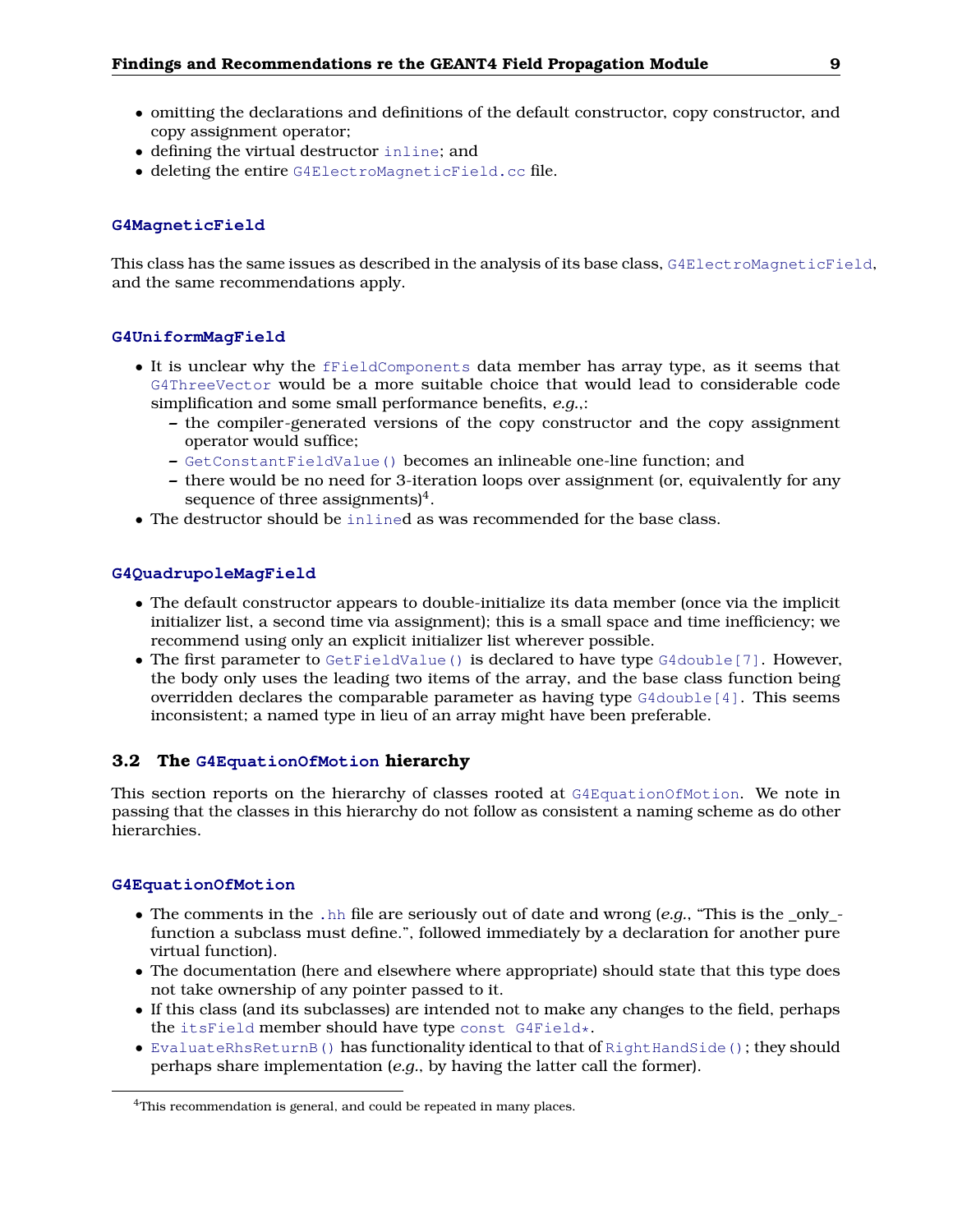- omitting the declarations and definitions of the default constructor, copy constructor, and copy assignment operator;
- defining the virtual destructor inline; and
- deleting the entire G4ElectroMagneticField.cc file.

## **G4MagneticField**

This class has the same issues as described in the analysis of its base class, G4ElectroMagneticField, and the same recommendations apply.

## **G4UniformMagField**

- It is unclear why the fFieldComponents data member has array type, as it seems that G4ThreeVector would be a more suitable choice that would lead to considerable code simplification and some small performance benefits, *e.g.*,:
	- **–** the compiler-generated versions of the copy constructor and the copy assignment operator would suffice;
	- **–** GetConstantFieldValue() becomes an inlineable one-line function; and
	- **–** there would be no need for 3-iteration loops over assignment (or, equivalently for any sequence of three assignments)<sup>4</sup>.
- The destructor should be inlined as was recommended for the base class.

## **G4QuadrupoleMagField**

- The default constructor appears to double-initialize its data member (once via the implicit initializer list, a second time via assignment); this is a small space and time inefficiency; we recommend using only an explicit initializer list wherever possible.
- The first parameter to GetFieldValue() is declared to have type G4double[7]. However, the body only uses the leading two items of the array, and the base class function being overridden declares the comparable parameter as having type  $G4$ double [4]. This seems inconsistent; a named type in lieu of an array might have been preferable.

## <span id="page-8-0"></span>**3.2 The G4EquationOfMotion hierarchy**

This section reports on the hierarchy of classes rooted at G4EquationOfMotion. We note in passing that the classes in this hierarchy do not follow as consistent a naming scheme as do other hierarchies.

## **G4EquationOfMotion**

- The comments in the .hh file are seriously out of date and wrong (*e.g.*, "This is the \_only\_function a subclass must define.", followed immediately by a declaration for another pure virtual function).
- The documentation (here and elsewhere where appropriate) should state that this type does not take ownership of any pointer passed to it.
- If this class (and its subclasses) are intended not to make any changes to the field, perhaps the itsField member should have type const G4Field\*.
- EvaluateRhsReturnB() has functionality identical to that of RightHandSide(); they should perhaps share implementation (*e.g.*, by having the latter call the former).

<sup>&</sup>lt;sup>4</sup>This recommendation is general, and could be repeated in many places.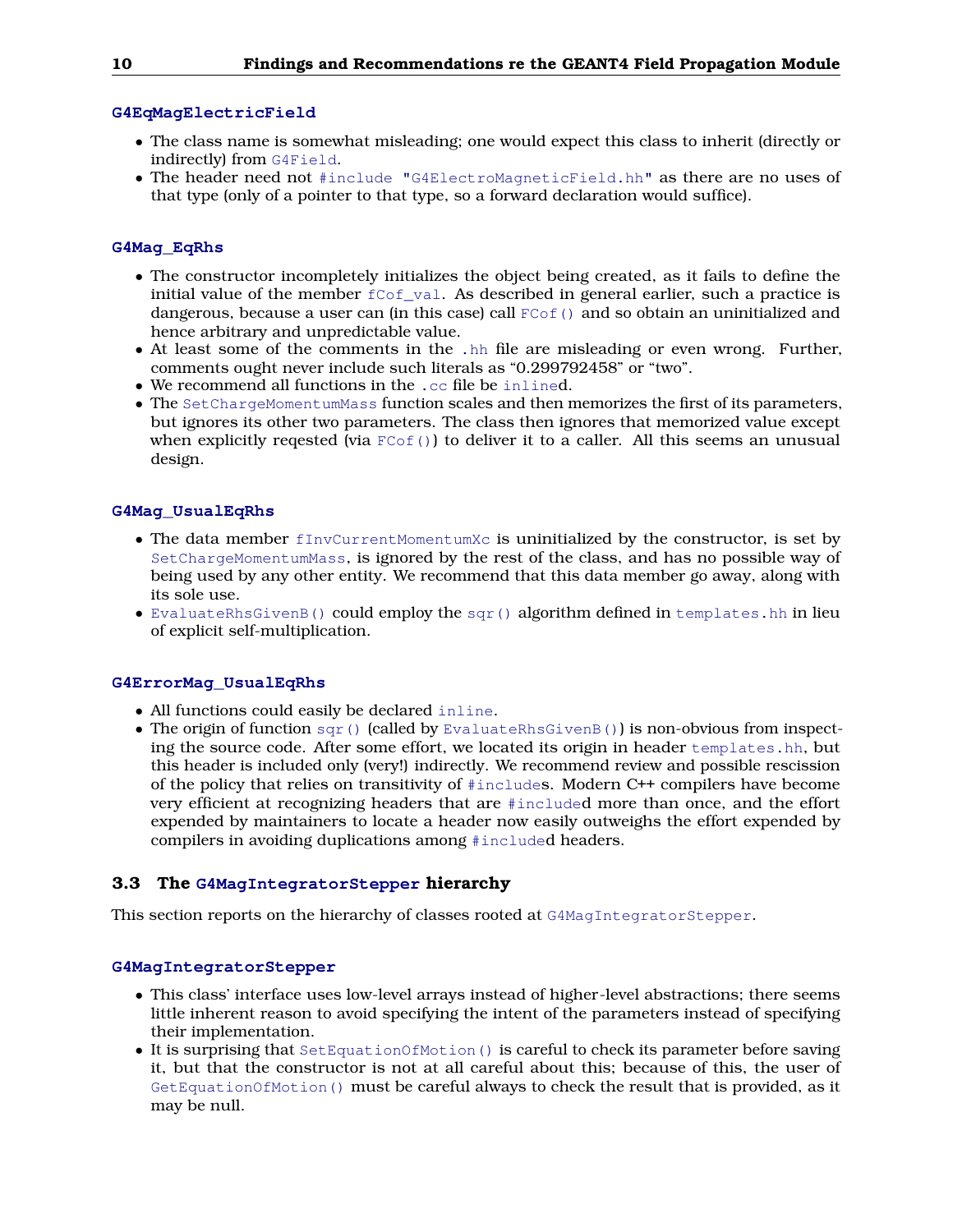## **G4EqMagElectricField**

- The class name is somewhat misleading; one would expect this class to inherit (directly or indirectly) from G4Field.
- The header need not #include "G4ElectroMagneticField.hh" as there are no uses of that type (only of a pointer to that type, so a forward declaration would suffice).

### **G4Mag\_EqRhs**

- The constructor incompletely initializes the object being created, as it fails to define the initial value of the member  $f\text{Cof}$  val. As described in general earlier, such a practice is dangerous, because a user can (in this case) call  $F\text{Cof}$  () and so obtain an uninitialized and hence arbitrary and unpredictable value.
- At least some of the comments in the .hh file are misleading or even wrong. Further, comments ought never include such literals as "0.299792458" or "two".
- We recommend all functions in the .cc file be inlined.
- The SetChargeMomentumMass function scales and then memorizes the first of its parameters, but ignores its other two parameters. The class then ignores that memorized value except when explicitly reqested (via  $F\text{Cof}(t)$ ) to deliver it to a caller. All this seems an unusual design.

#### **G4Mag\_UsualEqRhs**

- The data member fInvCurrentMomentumXc is uninitialized by the constructor, is set by SetChargeMomentumMass, is ignored by the rest of the class, and has no possible way of being used by any other entity. We recommend that this data member go away, along with its sole use.
- EvaluateRhsGivenB() could employ the sqr() algorithm defined in templates.hh in lieu of explicit self-multiplication.

#### **G4ErrorMag\_UsualEqRhs**

- All functions could easily be declared inline.
- The origin of function  $\text{sqrt}$  () (called by EvaluateRhsGivenB()) is non-obvious from inspecting the source code. After some effort, we located its origin in header templates.hh, but this header is included only (very!) indirectly. We recommend review and possible rescission of the policy that relies on transitivity of #includes. Modern C++ compilers have become very efficient at recognizing headers that are #included more than once, and the effort expended by maintainers to locate a header now easily outweighs the effort expended by compilers in avoiding duplications among #included headers.

#### <span id="page-9-0"></span>**3.3 The G4MagIntegratorStepper hierarchy**

This section reports on the hierarchy of classes rooted at G4MagIntegratorStepper.

### **G4MagIntegratorStepper**

- This class' interface uses low-level arrays instead of higher-level abstractions; there seems little inherent reason to avoid specifying the intent of the parameters instead of specifying their implementation.
- It is surprising that SetEquationOfMotion() is careful to check its parameter before saving it, but that the constructor is not at all careful about this; because of this, the user of GetEquationOfMotion() must be careful always to check the result that is provided, as it may be null.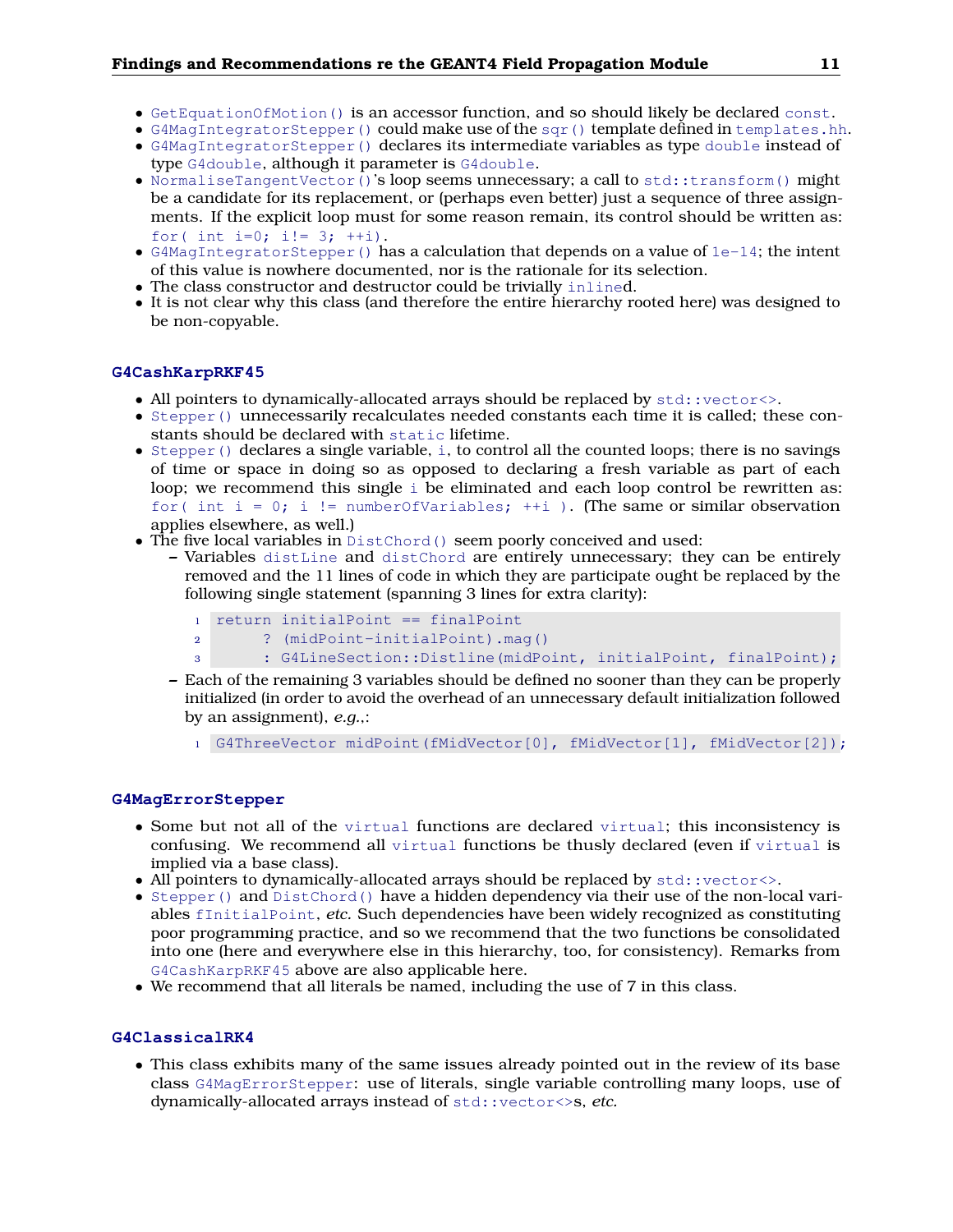- GetEquationOfMotion() is an accessor function, and so should likely be declared const.
- G4MagIntegratorStepper() could make use of the sqr() template defined in templates.hh.
- G4MagIntegratorStepper() declares its intermediate variables as type double instead of type G4double, although it parameter is G4double.
- NormaliseTangentVector()'s loop seems unnecessary; a call to std::transform() might be a candidate for its replacement, or (perhaps even better) just a sequence of three assignments. If the explicit loop must for some reason remain, its control should be written as: for( int i=0; i!=  $3;$  ++i).
- G4MagIntegratorStepper() has a calculation that depends on a value of 1e-14; the intent of this value is nowhere documented, nor is the rationale for its selection.
- The class constructor and destructor could be trivially inlined.
- It is not clear why this class (and therefore the entire hierarchy rooted here) was designed to be non-copyable.

#### **G4CashKarpRKF45**

- All pointers to dynamically-allocated arrays should be replaced by  $std::vector\leftarrow$ .
- Stepper() unnecessarily recalculates needed constants each time it is called; these constants should be declared with static lifetime.
- Stepper() declares a single variable, i, to control all the counted loops; there is no savings of time or space in doing so as opposed to declaring a fresh variable as part of each loop; we recommend this single i be eliminated and each loop control be rewritten as: for( int  $i = 0$ ; i != numberOfVariables;  $+i$  ). (The same or similar observation applies elsewhere, as well.)
- The five local variables in DistChord() seem poorly conceived and used:
	- **–** Variables distLine and distChord are entirely unnecessary; they can be entirely removed and the 11 lines of code in which they are participate ought be replaced by the following single statement (spanning 3 lines for extra clarity):
		- <sup>1</sup> return initialPoint == finalPoint
		- <sup>2</sup> ? (midPoint-initialPoint).mag()
		- <sup>3</sup> : G4LineSection::Distline(midPoint, initialPoint, finalPoint);
	- **–** Each of the remaining 3 variables should be defined no sooner than they can be properly initialized (in order to avoid the overhead of an unnecessary default initialization followed by an assignment), *e.g.*,:
		- <sup>1</sup> G4ThreeVector midPoint(fMidVector[0], fMidVector[1], fMidVector[2]);

#### **G4MagErrorStepper**

- Some but not all of the virtual functions are declared virtual; this inconsistency is confusing. We recommend all virtual functions be thusly declared (even if virtual is implied via a base class).
- All pointers to dynamically-allocated arrays should be replaced by  $std::vector>$ .
- Stepper() and DistChord() have a hidden dependency via their use of the non-local variables fInitialPoint, *etc.* Such dependencies have been widely recognized as constituting poor programming practice, and so we recommend that the two functions be consolidated into one (here and everywhere else in this hierarchy, too, for consistency). Remarks from G4CashKarpRKF45 above are also applicable here.
- We recommend that all literals be named, including the use of 7 in this class.

## **G4ClassicalRK4**

• This class exhibits many of the same issues already pointed out in the review of its base class G4MagErrorStepper: use of literals, single variable controlling many loops, use of dynamically-allocated arrays instead of std::vector<>s, *etc.*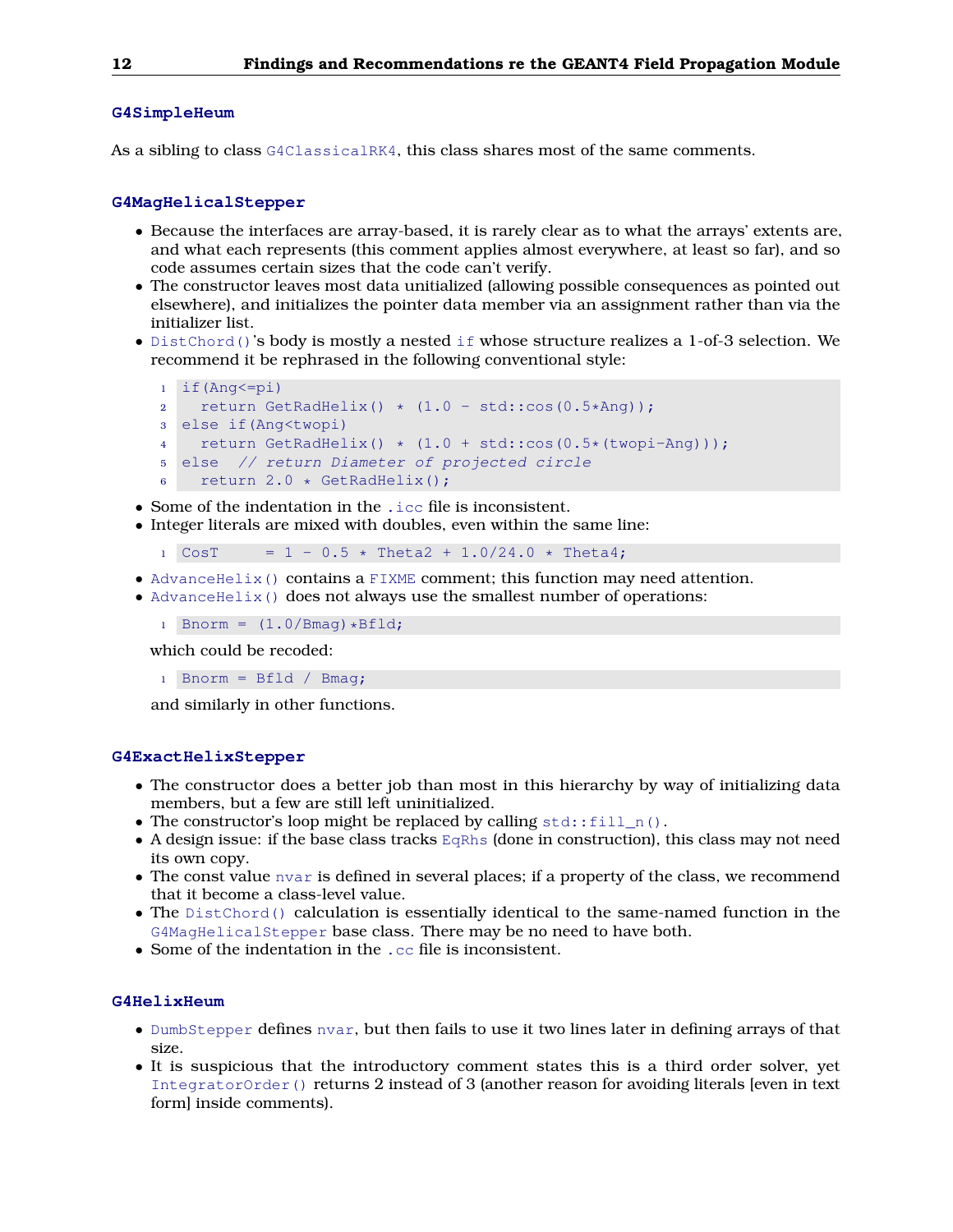#### **G4SimpleHeum**

As a sibling to class G4ClassicalRK4, this class shares most of the same comments.

#### **G4MagHelicalStepper**

- Because the interfaces are array-based, it is rarely clear as to what the arrays' extents are, and what each represents (this comment applies almost everywhere, at least so far), and so code assumes certain sizes that the code can't verify.
- The constructor leaves most data unitialized (allowing possible consequences as pointed out elsewhere), and initializes the pointer data member via an assignment rather than via the initializer list.
- DistChord()'s body is mostly a nested if whose structure realizes a 1-of-3 selection. We recommend it be rephrased in the following conventional style:

```
1 if(Ang<=pi)
2 return GetRadHelix() \star (1.0 - std::cos(0.5\starAng));
3 else if(Ang<twopi)
4 return GetRadHelix() * (1.0 + std::cos(0.5*(twopi-Ang)));
5 else // return Diameter of projected circle
6 return 2.0 * GetRadHelix();
```
- Some of the indentation in the .icc file is inconsistent.
- Integer literals are mixed with doubles, even within the same line:

 $1 \text{ CosT} = 1 - 0.5 \times \text{Theta2} + 1.0/24.0 \times \text{Theta4};$ 

- AdvanceHelix() contains a FIXME comment; this function may need attention.
- AdvanceHelix() does not always use the smallest number of operations:
	- 1 Bnorm =  $(1.0/Bmag)*Bfld;$

which could be recoded:

1 Bnorm =  $Bfld / Bmag$ ;

and similarly in other functions.

#### **G4ExactHelixStepper**

- The constructor does a better job than most in this hierarchy by way of initializing data members, but a few are still left uninitialized.
- The constructor's loop might be replaced by calling  $std::fill_n()$ .
- A design issue: if the base class tracks  $EQRhS$  (done in construction), this class may not need its own copy.
- The const value nvar is defined in several places; if a property of the class, we recommend that it become a class-level value.
- The DistChord() calculation is essentially identical to the same-named function in the G4MagHelicalStepper base class. There may be no need to have both.
- Some of the indentation in the .cc file is inconsistent.

#### **G4HelixHeum**

- DumbStepper defines nvar, but then fails to use it two lines later in defining arrays of that size.
- It is suspicious that the introductory comment states this is a third order solver, yet IntegratorOrder() returns 2 instead of 3 (another reason for avoiding literals [even in text form] inside comments).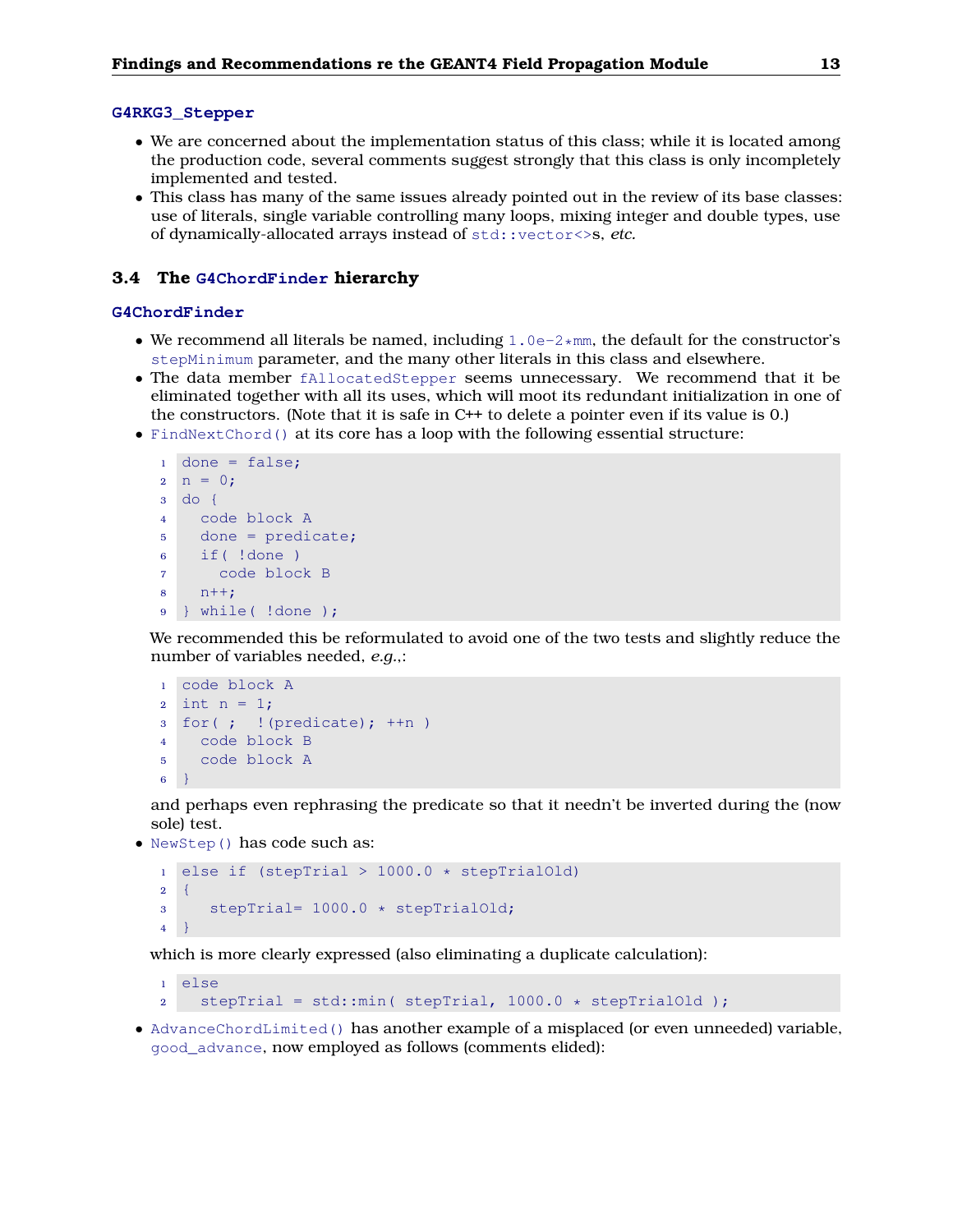#### **G4RKG3\_Stepper**

- We are concerned about the implementation status of this class; while it is located among the production code, several comments suggest strongly that this class is only incompletely implemented and tested.
- This class has many of the same issues already pointed out in the review of its base classes: use of literals, single variable controlling many loops, mixing integer and double types, use of dynamically-allocated arrays instead of std::vector<>s, *etc.*

#### <span id="page-12-0"></span>**3.4 The G4ChordFinder hierarchy**

#### **G4ChordFinder**

- We recommend all literals be named, including  $1.0e^{-2*mm}$ , the default for the constructor's stepMinimum parameter, and the many other literals in this class and elsewhere.
- The data member fAllocatedStepper seems unnecessary. We recommend that it be eliminated together with all its uses, which will moot its redundant initialization in one of the constructors. (Note that it is safe in C++ to delete a pointer even if its value is 0.)
- FindNextChord() at its core has a loop with the following essential structure:

```
1 done = false;
2 \text{ n} = 0;3 do {
4 code block A
5 done = predicate;
6 if( !done )
7 code block B
8 n++;
9 } while( !done );
```
We recommended this be reformulated to avoid one of the two tests and slightly reduce the number of variables needed, *e.g.*,:

```
1 code block A
2 int n = 1;
3 for(; ! (predicate); +n)
4 code block B
5 code block A
6 }
```
and perhaps even rephrasing the predicate so that it needn't be inverted during the (now sole) test.

• NewStep() has code such as:

```
1 else if (stepTrial > 1000.0 * stepTrialOld)
2 \quad \{3 stepTrial= 1000.0 * stepTrialOld;
4 }
```
which is more clearly expressed (also eliminating a duplicate calculation):

```
1 else
2 stepTrial = std:: min( stepTrial, 1000.0 \times stepTrialOld );
```
• AdvanceChordLimited() has another example of a misplaced (or even unneeded) variable, good\_advance, now employed as follows (comments elided):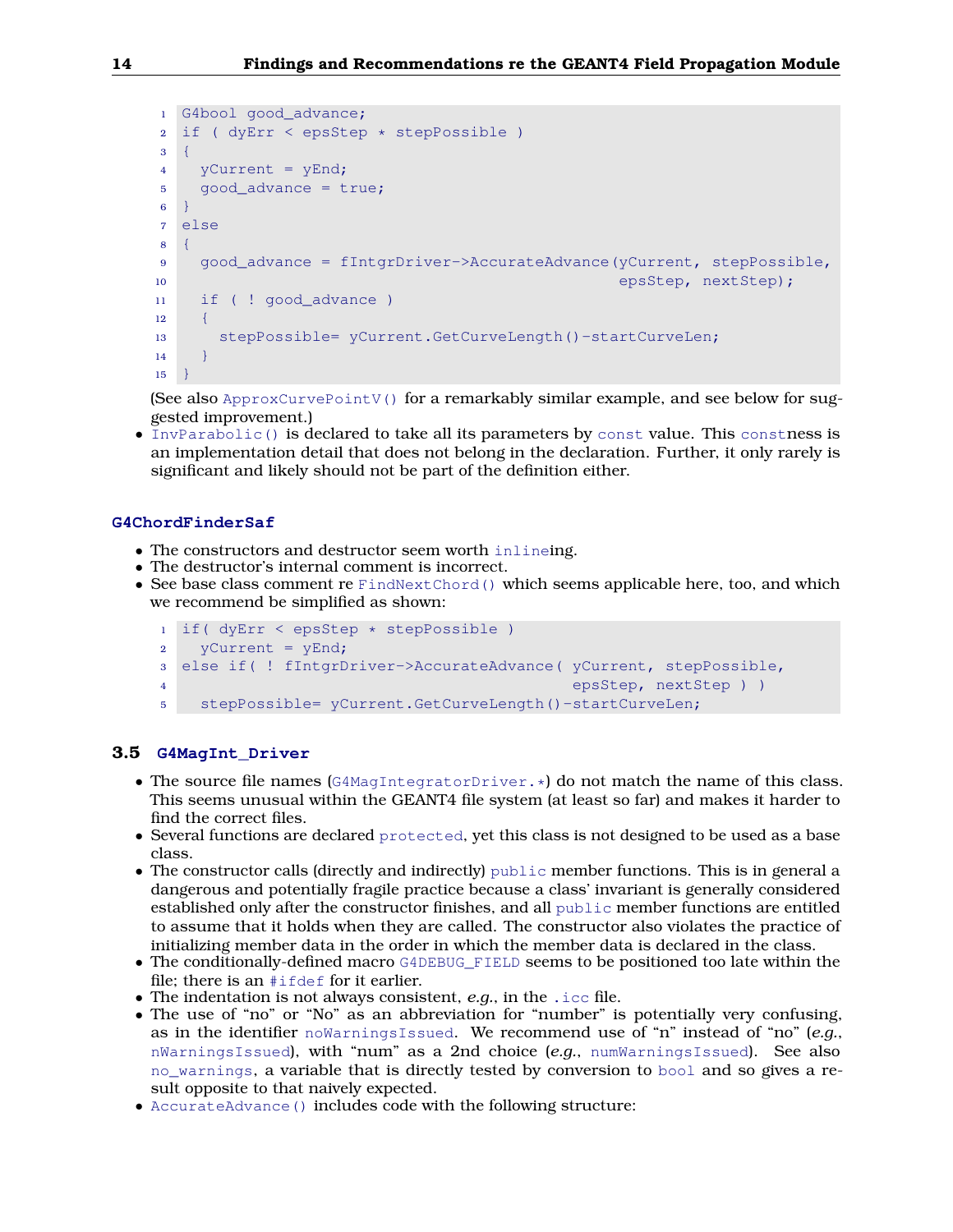```
1 G4bool good advance;
2 if ( dyErr < epsStep * stepPossible )
3 {
4 yCurrent = yEnd;
5 good_advance = true;
\mathbf{6}7 else
8 {
9 good_advance = fIntgrDriver->AccurateAdvance(yCurrent, stepPossible,
10 epsStep, nextStep);
11 if ( ! good_advance )
12 \qquad \{13 stepPossible= yCurrent.GetCurveLength()-startCurveLen;
1415 - 3
```
(See also ApproxCurvePointV() for a remarkably similar example, and see below for suggested improvement.)

• InvParabolic() is declared to take all its parameters by const value. This constness is an implementation detail that does not belong in the declaration. Further, it only rarely is significant and likely should not be part of the definition either.

### **G4ChordFinderSaf**

- The constructors and destructor seem worth inlineing.
- The destructor's internal comment is incorrect.
- See base class comment re FindNextChord() which seems applicable here, too, and which we recommend be simplified as shown:

```
1 if( dyErr < epsStep * stepPossible )
2 yCurrent = yEnd;
3 else if( ! fIntgrDriver->AccurateAdvance( yCurrent, stepPossible,
4 epsStep, nextStep ) )
5 stepPossible= yCurrent.GetCurveLength()-startCurveLen;
```
### <span id="page-13-0"></span>**3.5 G4MagInt\_Driver**

- The source file names ( $G4MaqIntegratorDiriver.*$ ) do not match the name of this class. This seems unusual within the GEANT4 file system (at least so far) and makes it harder to find the correct files.
- Several functions are declared protected, yet this class is not designed to be used as a base class.
- The constructor calls (directly and indirectly) public member functions. This is in general a dangerous and potentially fragile practice because a class' invariant is generally considered established only after the constructor finishes, and all public member functions are entitled to assume that it holds when they are called. The constructor also violates the practice of initializing member data in the order in which the member data is declared in the class.
- The conditionally-defined macro G4DEBUG\_FIELD seems to be positioned too late within the file; there is an #ifdef for it earlier.
- The indentation is not always consistent, *e.g.*, in the .icc file.
- The use of "no" or "No" as an abbreviation for "number" is potentially very confusing, as in the identifier noWarningsIssued. We recommend use of "n" instead of "no" (*e.g.*, nWarningsIssued), with "num" as a 2nd choice (*e.g.*, numWarningsIssued). See also no\_warnings, a variable that is directly tested by conversion to bool and so gives a result opposite to that naively expected.
- AccurateAdvance() includes code with the following structure: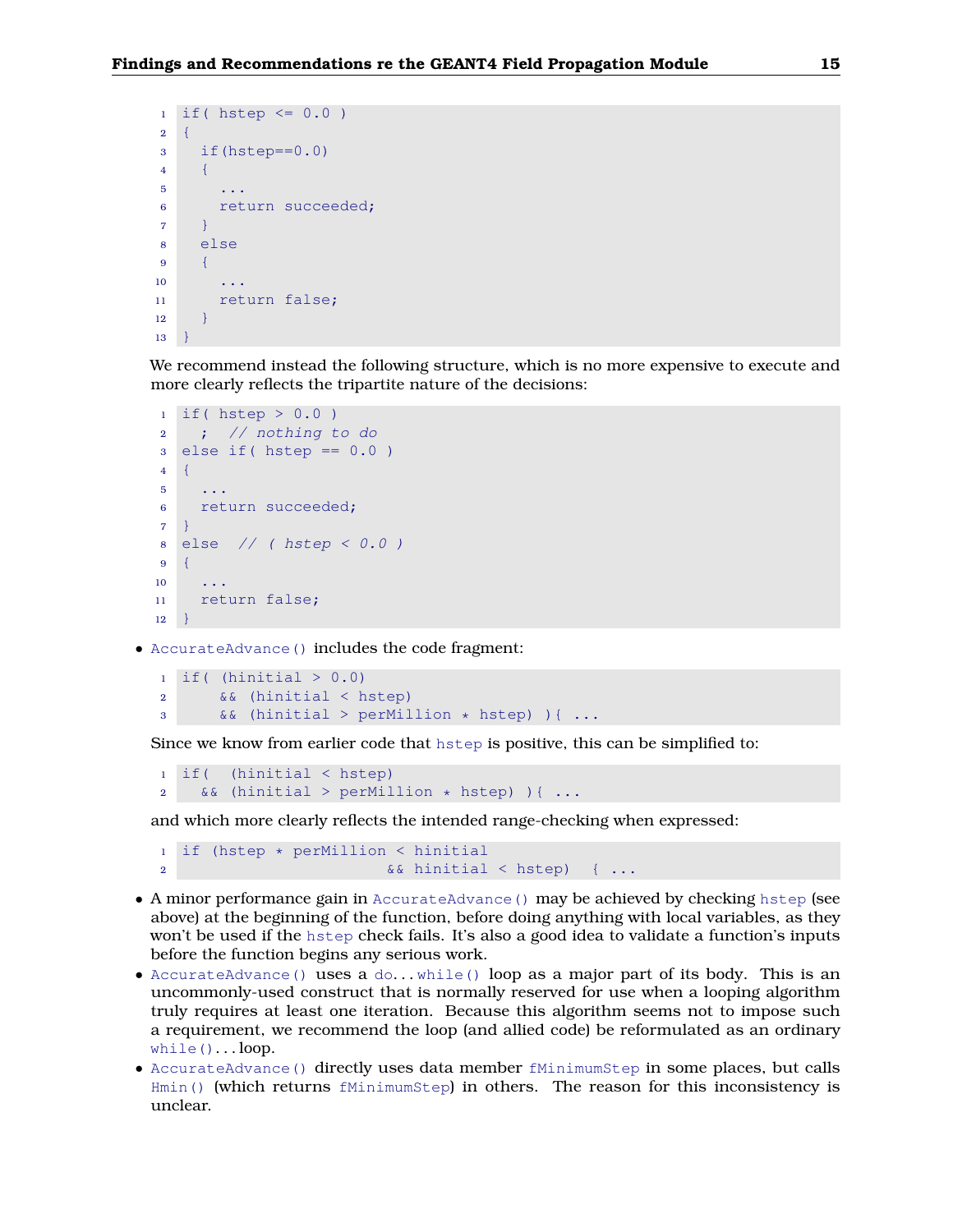```
1 if ( hstep \leq 0.0 )
2 \left\{ \begin{array}{c} 2 \end{array} \right\}3 if(hstep==0.0)
4 \qquad \{5 \qquad \ldots6 return succeeded;
7 }
8 else
9 {
10 ...
11 return false;
12 }
13 }
```
We recommend instead the following structure, which is no more expensive to execute and more clearly reflects the tripartite nature of the decisions:

```
1 if ( hstep > 0.0 )
2 ; // nothing to do
3 else if (hstep == 0.0)
4 {
5 ...
6 return succeeded;
\overline{7}8 else // ( hstep < 0.0 )
9 {
10 ...
11 return false;
12 }
```
• AccurateAdvance() includes the code fragment:

```
1 if ( (hinitial > 0.0)
2 && (hinitial < hstep)
3 && (hinitial > perMillion * hstep) ){ ...
```
Since we know from earlier code that hstep is positive, this can be simplified to:

```
1 if( (hinitial < hstep)
2 && (hinitial > perMillion * hstep) \{ \ldots \}
```
and which more clearly reflects the intended range-checking when expressed:

```
1 if (hstep * perMillion < hinitial
2 8 & hinitial < hstep) { \ldots
```
- A minor performance gain in AccurateAdvance() may be achieved by checking hstep (see above) at the beginning of the function, before doing anything with local variables, as they won't be used if the hstep check fails. It's also a good idea to validate a function's inputs before the function begins any serious work.
- AccurateAdvance() uses a  $do...$  while() loop as a major part of its body. This is an uncommonly-used construct that is normally reserved for use when a looping algorithm truly requires at least one iteration. Because this algorithm seems not to impose such a requirement, we recommend the loop (and allied code) be reformulated as an ordinary  $while()... loop.$
- AccurateAdvance () directly uses data member fMinimumStep in some places, but calls Hmin() (which returns fMinimumStep) in others. The reason for this inconsistency is unclear.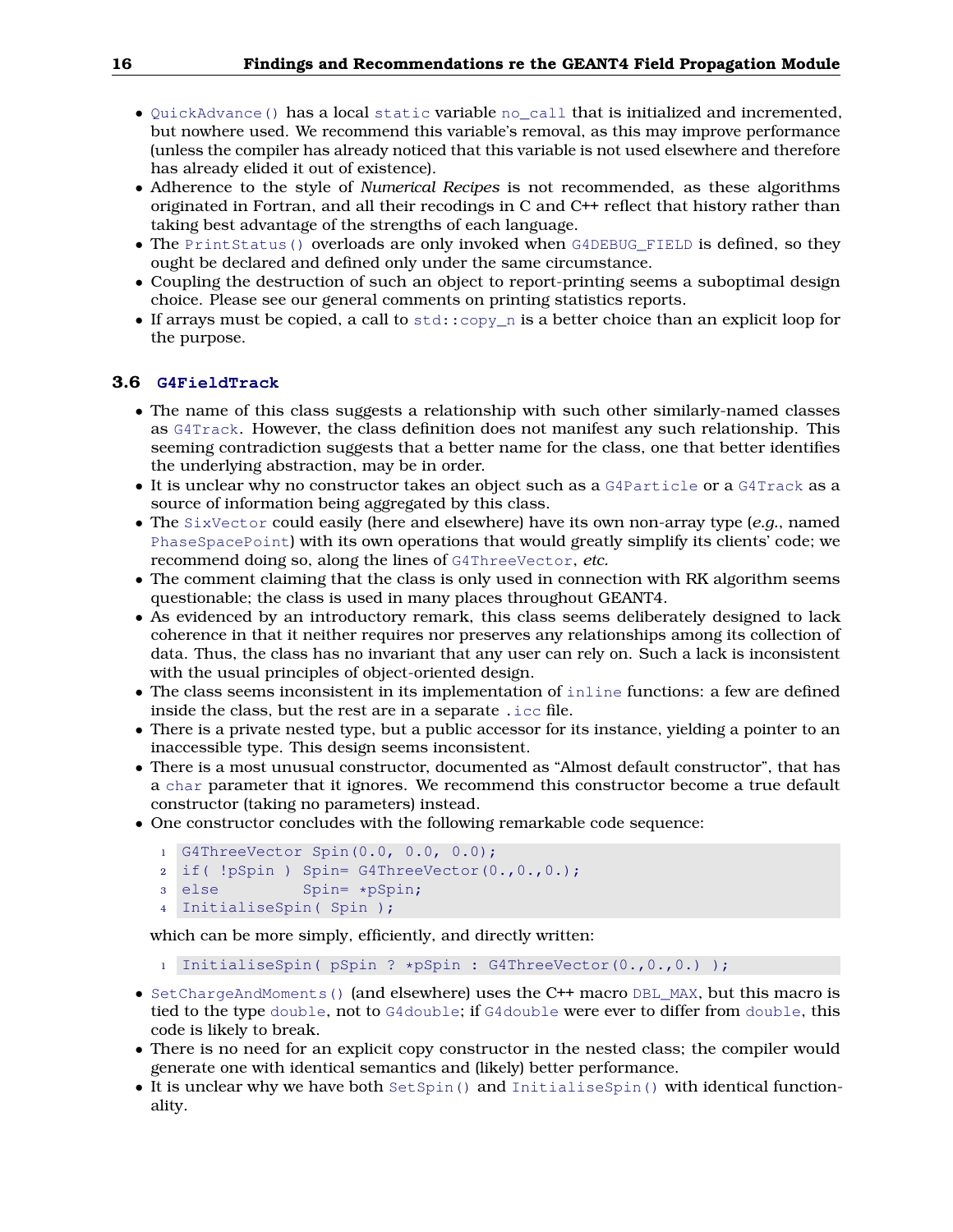- QuickAdvance() has a local static variable no\_call that is initialized and incremented, but nowhere used. We recommend this variable's removal, as this may improve performance (unless the compiler has already noticed that this variable is not used elsewhere and therefore has already elided it out of existence).
- Adherence to the style of *Numerical Recipes* is not recommended, as these algorithms originated in Fortran, and all their recodings in C and C++ reflect that history rather than taking best advantage of the strengths of each language.
- The PrintStatus() overloads are only invoked when G4DEBUG\_FIELD is defined, so they ought be declared and defined only under the same circumstance.
- Coupling the destruction of such an object to report-printing seems a suboptimal design choice. Please see our general comments on printing statistics reports.
- If arrays must be copied, a call to  $std$ :  $copy$  n is a better choice than an explicit loop for the purpose.

## <span id="page-15-0"></span>**3.6 G4FieldTrack**

- The name of this class suggests a relationship with such other similarly-named classes as G4Track. However, the class definition does not manifest any such relationship. This seeming contradiction suggests that a better name for the class, one that better identifies the underlying abstraction, may be in order.
- It is unclear why no constructor takes an object such as a G4Particle or a G4Track as a source of information being aggregated by this class.
- The SixVector could easily (here and elsewhere) have its own non-array type (*e.g.*, named PhaseSpacePoint) with its own operations that would greatly simplify its clients' code; we recommend doing so, along the lines of G4ThreeVector, *etc.*
- The comment claiming that the class is only used in connection with RK algorithm seems questionable; the class is used in many places throughout GEANT4.
- As evidenced by an introductory remark, this class seems deliberately designed to lack coherence in that it neither requires nor preserves any relationships among its collection of data. Thus, the class has no invariant that any user can rely on. Such a lack is inconsistent with the usual principles of object-oriented design.
- The class seems inconsistent in its implementation of inline functions: a few are defined inside the class, but the rest are in a separate .icc file.
- There is a private nested type, but a public accessor for its instance, yielding a pointer to an inaccessible type. This design seems inconsistent.
- There is a most unusual constructor, documented as "Almost default constructor", that has a char parameter that it ignores. We recommend this constructor become a true default constructor (taking no parameters) instead.
- One constructor concludes with the following remarkable code sequence:

```
1 G4ThreeVector Spin(0.0, 0.0, 0.0);
```

```
2 if( !pSpin ) Spin= G4ThreeVector(0.,0.,0.);
```

```
3 else Spin= *pSpin;
```

```
4 InitialiseSpin( Spin );
```
which can be more simply, efficiently, and directly written:

- <sup>1</sup> InitialiseSpin( pSpin ? \*pSpin : G4ThreeVector(0.,0.,0.) );
- SetChargeAndMoments() (and elsewhere) uses the C++ macro DBL\_MAX, but this macro is tied to the type double, not to G4double; if G4double were ever to differ from double, this code is likely to break.
- There is no need for an explicit copy constructor in the nested class; the compiler would generate one with identical semantics and (likely) better performance.
- It is unclear why we have both SetSpin() and InitialiseSpin() with identical functionality.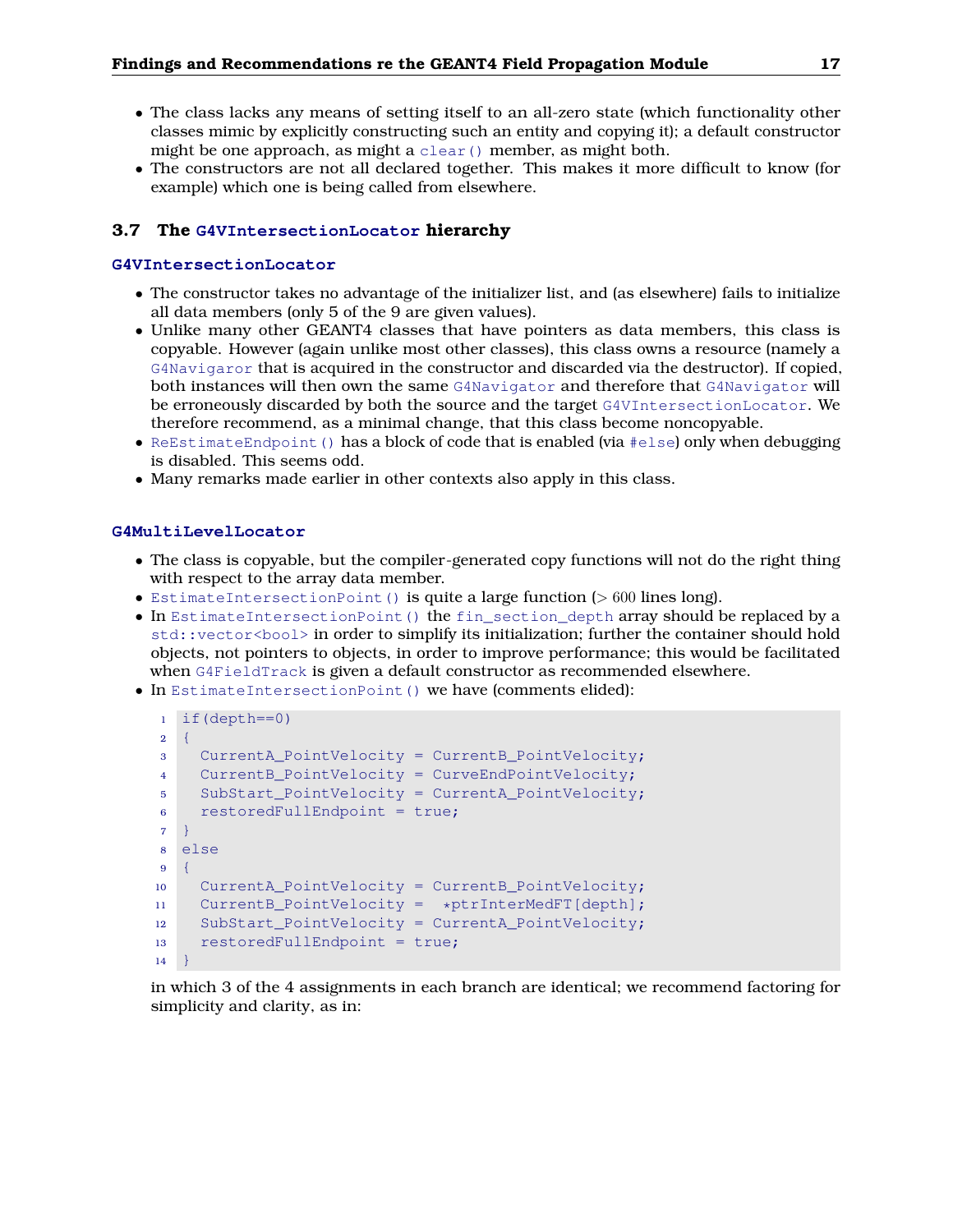- The class lacks any means of setting itself to an all-zero state (which functionality other classes mimic by explicitly constructing such an entity and copying it); a default constructor might be one approach, as might a clear() member, as might both.
- The constructors are not all declared together. This makes it more difficult to know (for example) which one is being called from elsewhere.

## <span id="page-16-0"></span>**3.7 The G4VIntersectionLocator hierarchy**

## **G4VIntersectionLocator**

- The constructor takes no advantage of the initializer list, and (as elsewhere) fails to initialize all data members (only 5 of the 9 are given values).
- Unlike many other GEANT4 classes that have pointers as data members, this class is copyable. However (again unlike most other classes), this class owns a resource (namely a G4Navigaror that is acquired in the constructor and discarded via the destructor). If copied, both instances will then own the same G4Navigator and therefore that G4Navigator will be erroneously discarded by both the source and the target G4VIntersectionLocator. We therefore recommend, as a minimal change, that this class become noncopyable.
- ReEstimateEndpoint() has a block of code that is enabled (via #else) only when debugging is disabled. This seems odd.
- Many remarks made earlier in other contexts also apply in this class.

## **G4MultiLevelLocator**

- The class is copyable, but the compiler-generated copy functions will not do the right thing with respect to the array data member.
- EstimateIntersectionPoint() is quite a large function (> 600 lines long).
- In EstimateIntersectionPoint() the fin section depth array should be replaced by a std::vector<bool> in order to simplify its initialization; further the container should hold objects, not pointers to objects, in order to improve performance; this would be facilitated when G4FieldTrack is given a default constructor as recommended elsewhere.
- In EstimateIntersectionPoint() we have (comments elided):

```
1 if(depth==0)
2 \quad \{3 CurrentA_PointVelocity = CurrentB_PointVelocity;
4 CurrentB_PointVelocity = CurveEndPointVelocity;
5 SubStart_PointVelocity = CurrentA_PointVelocity;
6 restoredFullEndpoint = true;
7 }
8 else
9 {
10 CurrentA_PointVelocity = CurrentB_PointVelocity;
11 CurrentB_PointVelocity = *ptrInterMedFT[depth];
12 SubStart_PointVelocity = CurrentA_PointVelocity;
13 restoredFullEndpoint = true;
14 }
```
in which 3 of the 4 assignments in each branch are identical; we recommend factoring for simplicity and clarity, as in: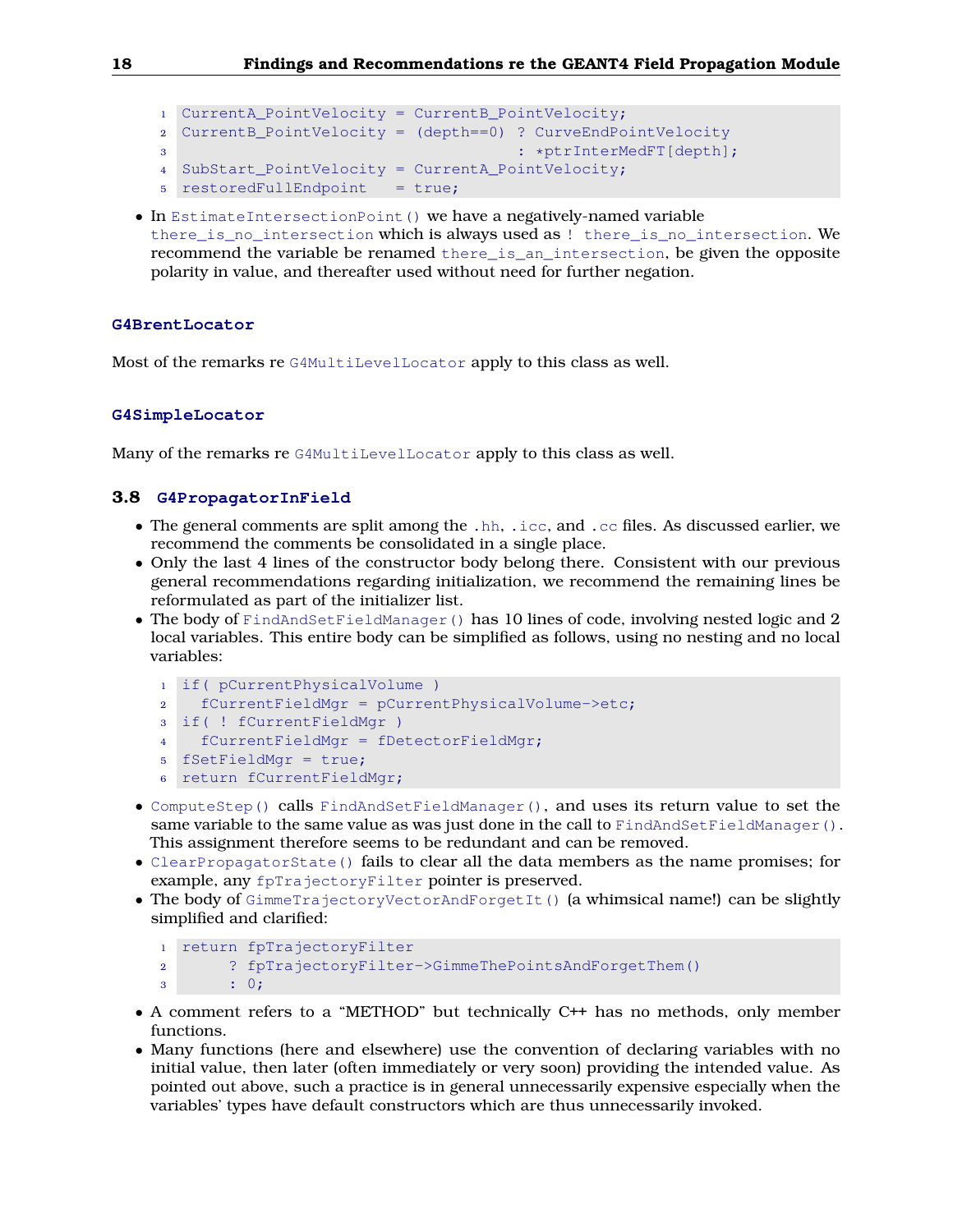```
1 CurrentA PointVelocity = CurrentB PointVelocity;
2 CurrentB_PointVelocity = (depth==0) ? CurveEndPointVelocity
3 : *ptrInterMedFT[depth];
4 SubStart_PointVelocity = CurrentA_PointVelocity;
5 restoredFullEndpoint = true;
```
• In EstimateIntersectionPoint() we have a negatively-named variable there is no intersection which is always used as ! there is no intersection. We recommend the variable be renamed there\_is\_an\_intersection, be given the opposite polarity in value, and thereafter used without need for further negation.

#### **G4BrentLocator**

Most of the remarks re G4MultiLevelLocator apply to this class as well.

#### **G4SimpleLocator**

Many of the remarks re G4MultiLevelLocator apply to this class as well.

## <span id="page-17-0"></span>**3.8 G4PropagatorInField**

- The general comments are split among the .hh, .icc, and .cc files. As discussed earlier, we recommend the comments be consolidated in a single place.
- Only the last 4 lines of the constructor body belong there. Consistent with our previous general recommendations regarding initialization, we recommend the remaining lines be reformulated as part of the initializer list.
- The body of FindAndSetFieldManager() has 10 lines of code, involving nested logic and 2 local variables. This entire body can be simplified as follows, using no nesting and no local variables:

```
1 if( pCurrentPhysicalVolume )
2 fCurrentFieldMgr = pCurrentPhysicalVolume->etc;
3 if( ! fCurrentFieldMgr )
4 fCurrentFieldMgr = fDetectorFieldMgr;
5 fSetFieldMgr = true;
6 return fCurrentFieldMgr;
```
- ComputeStep() calls FindAndSetFieldManager(), and uses its return value to set the same variable to the same value as was just done in the call to  $FindAndSetFieldManager()$ . This assignment therefore seems to be redundant and can be removed.
- ClearPropagatorState() fails to clear all the data members as the name promises; for example, any fpTrajectoryFilter pointer is preserved.
- The body of GimmeTrajectoryVectorAndForgetIt() (a whimsical name!) can be slightly simplified and clarified:

```
1 return fpTrajectoryFilter
```
<sup>2</sup> ? fpTrajectoryFilter->GimmeThePointsAndForgetThem()

- <sup>3</sup> : 0;
- A comment refers to a "METHOD" but technically C++ has no methods, only member functions.
- Many functions (here and elsewhere) use the convention of declaring variables with no initial value, then later (often immediately or very soon) providing the intended value. As pointed out above, such a practice is in general unnecessarily expensive especially when the variables' types have default constructors which are thus unnecessarily invoked.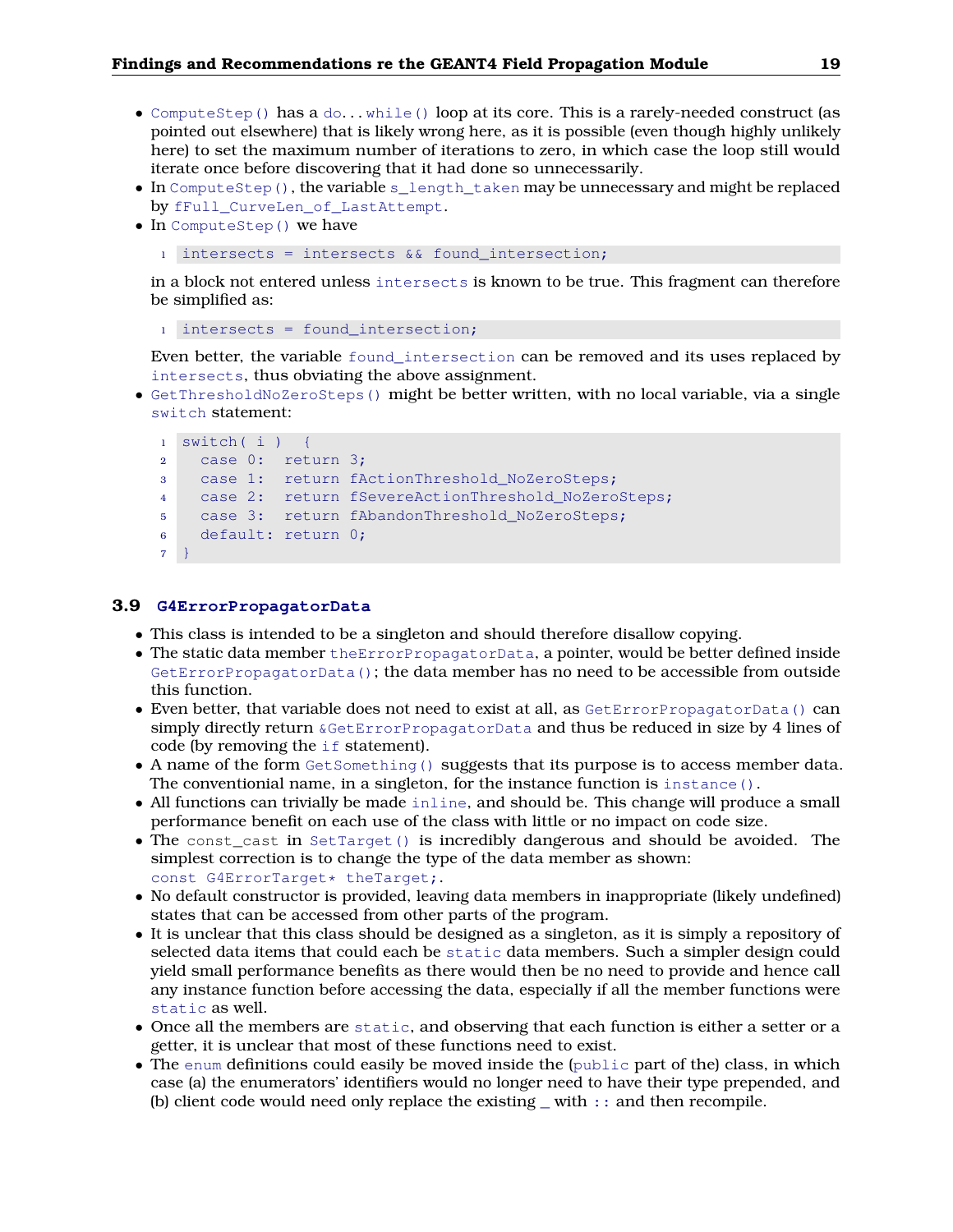- ComputeStep() has a  $do...$  while() loop at its core. This is a rarely-needed construct (as pointed out elsewhere) that is likely wrong here, as it is possible (even though highly unlikely here) to set the maximum number of iterations to zero, in which case the loop still would iterate once before discovering that it had done so unnecessarily.
- In ComputeStep(), the variable s\_length\_taken may be unnecessary and might be replaced by fFull\_CurveLen\_of\_LastAttempt.
- In ComputeStep() we have
	- $\frac{1}{1}$  intersects = intersects && found\_intersection;

in a block not entered unless intersects is known to be true. This fragment can therefore be simplified as:

```
1 intersects = found_intersection;
```
Even better, the variable found\_intersection can be removed and its uses replaced by intersects, thus obviating the above assignment.

• GetThresholdNoZeroSteps() might be better written, with no local variable, via a single switch statement:

```
1 switch( i ) {
2 case 0: return 3;
3 case 1: return fActionThreshold_NoZeroSteps;
4 case 2: return fSevereActionThreshold NoZeroSteps;
5 case 3: return fAbandonThreshold NoZeroSteps;
6 default: return 0;
7 }
```
#### <span id="page-18-0"></span>**3.9 G4ErrorPropagatorData**

- This class is intended to be a singleton and should therefore disallow copying.
- The static data member the ErrorPropagatorData, a pointer, would be better defined inside GetErrorPropagatorData(); the data member has no need to be accessible from outside this function.
- Even better, that variable does not need to exist at all, as GetErrorPropagatorData() can simply directly return &GetErrorPropagatorData and thus be reduced in size by 4 lines of code (by removing the if statement).
- A name of the form GetSomething() suggests that its purpose is to access member data. The conventionial name, in a singleton, for the instance function is  $instance()$ .
- All functions can trivially be made inline, and should be. This change will produce a small performance benefit on each use of the class with little or no impact on code size.
- The const\_cast in SetTarget() is incredibly dangerous and should be avoided. The simplest correction is to change the type of the data member as shown: const G4ErrorTarget\* theTarget;.
- No default constructor is provided, leaving data members in inappropriate (likely undefined) states that can be accessed from other parts of the program.
- It is unclear that this class should be designed as a singleton, as it is simply a repository of selected data items that could each be static data members. Such a simpler design could yield small performance benefits as there would then be no need to provide and hence call any instance function before accessing the data, especially if all the member functions were static as well.
- Once all the members are static, and observing that each function is either a setter or a getter, it is unclear that most of these functions need to exist.
- The enum definitions could easily be moved inside the (public part of the) class, in which case (a) the enumerators' identifiers would no longer need to have their type prepended, and (b) client code would need only replace the existing \_ with :: and then recompile.